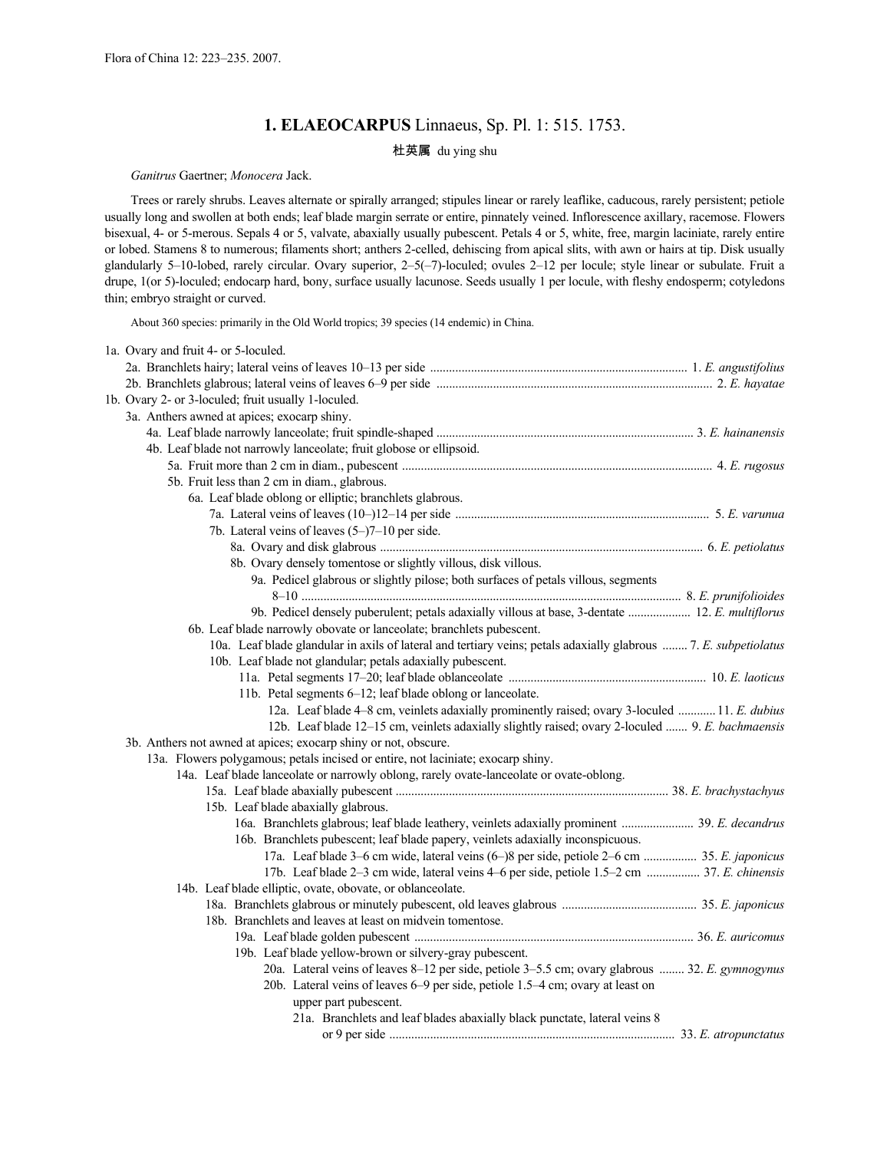# **1. ELAEOCARPUS** Linnaeus, Sp. Pl. 1: 515. 1753.

### 杜英属 du ying shu

### *Ganitrus* Gaertner; *Monocera* Jack.

Trees or rarely shrubs. Leaves alternate or spirally arranged; stipules linear or rarely leaflike, caducous, rarely persistent; petiole usually long and swollen at both ends; leaf blade margin serrate or entire, pinnately veined. Inflorescence axillary, racemose. Flowers bisexual, 4- or 5-merous. Sepals 4 or 5, valvate, abaxially usually pubescent. Petals 4 or 5, white, free, margin laciniate, rarely entire or lobed. Stamens 8 to numerous; filaments short; anthers 2-celled, dehiscing from apical slits, with awn or hairs at tip. Disk usually glandularly 5–10-lobed, rarely circular. Ovary superior, 2–5(–7)-loculed; ovules 2–12 per locule; style linear or subulate. Fruit a drupe, 1(or 5)-loculed; endocarp hard, bony, surface usually lacunose. Seeds usually 1 per locule, with fleshy endosperm; cotyledons thin; embryo straight or curved.

About 360 species: primarily in the Old World tropics; 39 species (14 endemic) in China.

| 1a. Ovary and fruit 4- or 5-loculed.                                                                             |  |
|------------------------------------------------------------------------------------------------------------------|--|
|                                                                                                                  |  |
|                                                                                                                  |  |
| 1b. Ovary 2- or 3-loculed; fruit usually 1-loculed.                                                              |  |
| 3a. Anthers awned at apices; exocarp shiny.                                                                      |  |
|                                                                                                                  |  |
| 4b. Leaf blade not narrowly lanceolate; fruit globose or ellipsoid.                                              |  |
|                                                                                                                  |  |
| 5b. Fruit less than 2 cm in diam., glabrous.                                                                     |  |
| 6a. Leaf blade oblong or elliptic; branchlets glabrous.                                                          |  |
|                                                                                                                  |  |
| 7b. Lateral veins of leaves (5-)7-10 per side.                                                                   |  |
|                                                                                                                  |  |
| 8b. Ovary densely tomentose or slightly villous, disk villous.                                                   |  |
| 9a. Pedicel glabrous or slightly pilose; both surfaces of petals villous, segments                               |  |
|                                                                                                                  |  |
| 9b. Pedicel densely puberulent; petals adaxially villous at base, 3-dentate  12. E. multiflorus                  |  |
| 6b. Leaf blade narrowly obovate or lanceolate; branchlets pubescent.                                             |  |
| 10a. Leaf blade glandular in axils of lateral and tertiary veins; petals adaxially glabrous  7. E. subpetiolatus |  |
| 10b. Leaf blade not glandular; petals adaxially pubescent.                                                       |  |
|                                                                                                                  |  |
| 11b. Petal segments 6-12; leaf blade oblong or lanceolate.                                                       |  |
| 12a. Leaf blade 4–8 cm, veinlets adaxially prominently raised; ovary 3-loculed  11. E. dubius                    |  |
| 12b. Leaf blade 12-15 cm, veinlets adaxially slightly raised; ovary 2-loculed  9. E. bachmaensis                 |  |
| 3b. Anthers not awned at apices; exocarp shiny or not, obscure.                                                  |  |
| 13a. Flowers polygamous; petals incised or entire, not laciniate; exocarp shiny.                                 |  |
| 14a. Leaf blade lanceolate or narrowly oblong, rarely ovate-lanceolate or ovate-oblong.                          |  |
|                                                                                                                  |  |
| 15b. Leaf blade abaxially glabrous.                                                                              |  |
| 16a. Branchlets glabrous; leaf blade leathery, veinlets adaxially prominent  39. E. decandrus                    |  |
| 16b. Branchlets pubescent; leaf blade papery, veinlets adaxially inconspicuous.                                  |  |
| 17a. Leaf blade 3–6 cm wide, lateral veins (6–)8 per side, petiole 2–6 cm  35. E. japonicus                      |  |
| 17b. Leaf blade 2-3 cm wide, lateral veins 4-6 per side, petiole 1.5-2 cm  37. E. chinensis                      |  |
| 14b. Leaf blade elliptic, ovate, obovate, or oblanceolate.                                                       |  |
|                                                                                                                  |  |
| 18b. Branchlets and leaves at least on midvein tomentose.                                                        |  |
|                                                                                                                  |  |
| 19b. Leaf blade yellow-brown or silvery-gray pubescent.                                                          |  |
| 20a. Lateral veins of leaves 8–12 per side, petiole 3–5.5 cm; ovary glabrous  32. E. gymnogynus                  |  |
| 20b. Lateral veins of leaves 6–9 per side, petiole 1.5–4 cm; ovary at least on                                   |  |
| upper part pubescent.                                                                                            |  |
| 21a. Branchlets and leaf blades abaxially black punctate, lateral veins 8                                        |  |
|                                                                                                                  |  |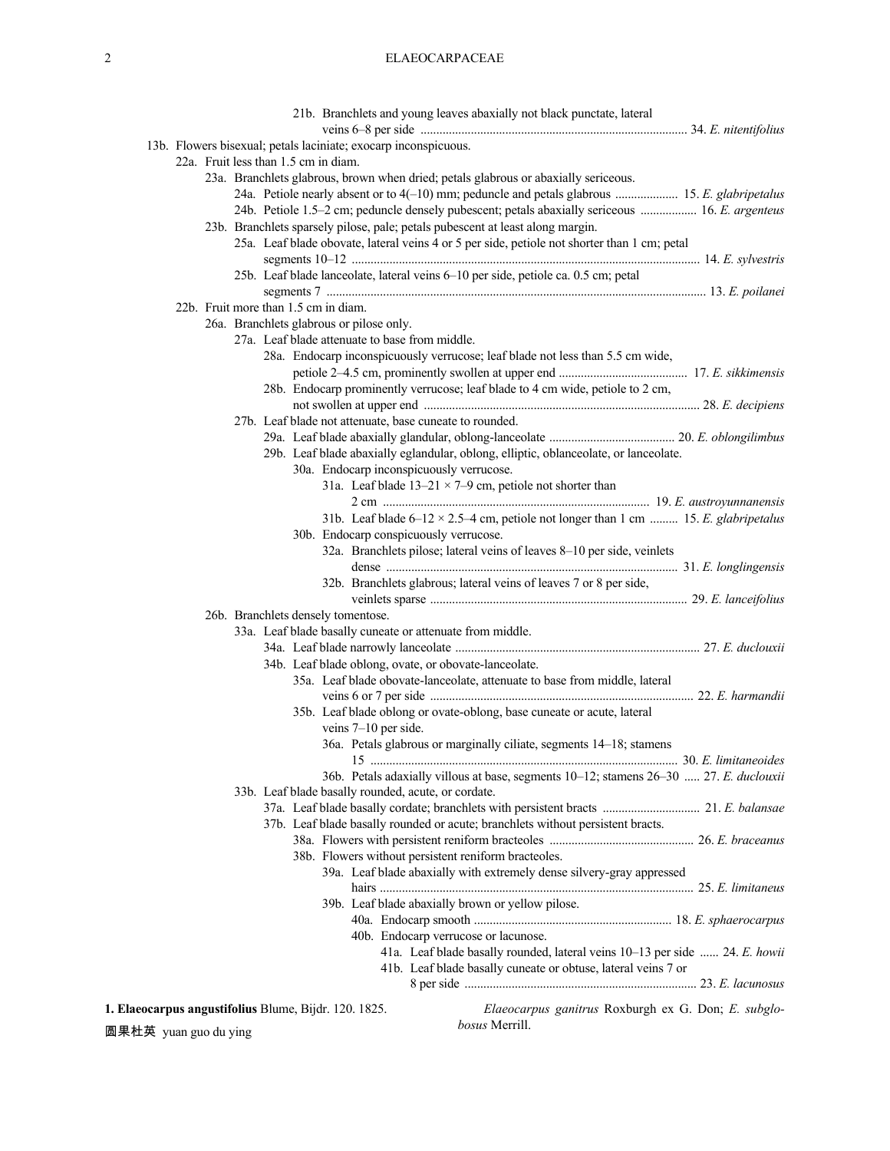# 2 ELAEOCARPACEAE

|  | 21b. Branchlets and young leaves abaxially not black punctate, lateral                                                        |
|--|-------------------------------------------------------------------------------------------------------------------------------|
|  |                                                                                                                               |
|  | 13b. Flowers bisexual; petals laciniate; exocarp inconspicuous.                                                               |
|  | 22a. Fruit less than 1.5 cm in diam.                                                                                          |
|  | 23a. Branchlets glabrous, brown when dried; petals glabrous or abaxially sericeous.                                           |
|  | 24a. Petiole nearly absent or to 4(-10) mm; peduncle and petals glabrous  15. E. glabripetalus                                |
|  | 24b. Petiole 1.5–2 cm; peduncle densely pubescent; petals abaxially sericeous  16. E. argenteus                               |
|  | 23b. Branchlets sparsely pilose, pale; petals pubescent at least along margin.                                                |
|  | 25a. Leaf blade obovate, lateral veins 4 or 5 per side, petiole not shorter than 1 cm; petal                                  |
|  |                                                                                                                               |
|  | 25b. Leaf blade lanceolate, lateral veins 6-10 per side, petiole ca. 0.5 cm; petal                                            |
|  |                                                                                                                               |
|  | 22b. Fruit more than 1.5 cm in diam.                                                                                          |
|  | 26a. Branchlets glabrous or pilose only.                                                                                      |
|  | 27a. Leaf blade attenuate to base from middle.                                                                                |
|  | 28a. Endocarp inconspicuously verrucose; leaf blade not less than 5.5 cm wide,                                                |
|  |                                                                                                                               |
|  | 28b. Endocarp prominently verrucose; leaf blade to 4 cm wide, petiole to 2 cm,                                                |
|  |                                                                                                                               |
|  | 27b. Leaf blade not attenuate, base cuneate to rounded.                                                                       |
|  |                                                                                                                               |
|  | 29b. Leaf blade abaxially eglandular, oblong, elliptic, oblanceolate, or lanceolate.                                          |
|  | 30a. Endocarp inconspicuously verrucose.                                                                                      |
|  | 31a. Leaf blade $13-21 \times 7-9$ cm, petiole not shorter than                                                               |
|  |                                                                                                                               |
|  | 31b. Leaf blade $6-12 \times 2.5-4$ cm, petiole not longer than 1 cm  15. E. glabripetalus                                    |
|  | 30b. Endocarp conspicuously verrucose.                                                                                        |
|  | 32a. Branchlets pilose; lateral veins of leaves 8-10 per side, veinlets                                                       |
|  |                                                                                                                               |
|  | 32b. Branchlets glabrous; lateral veins of leaves 7 or 8 per side,                                                            |
|  |                                                                                                                               |
|  | 26b. Branchlets densely tomentose.                                                                                            |
|  | 33a. Leaf blade basally cuneate or attenuate from middle.                                                                     |
|  |                                                                                                                               |
|  | 34b. Leaf blade oblong, ovate, or obovate-lanceolate.                                                                         |
|  | 35a. Leaf blade obovate-lanceolate, attenuate to base from middle, lateral                                                    |
|  |                                                                                                                               |
|  | 35b. Leaf blade oblong or ovate-oblong, base cuneate or acute, lateral                                                        |
|  | veins $7-10$ per side.                                                                                                        |
|  | 36a. Petals glabrous or marginally ciliate, segments 14-18; stamens                                                           |
|  | 36b. Petals adaxially villous at base, segments 10-12; stamens 26-30  27. E. duclouxii                                        |
|  | 33b. Leaf blade basally rounded, acute, or cordate.                                                                           |
|  |                                                                                                                               |
|  | 37b. Leaf blade basally rounded or acute; branchlets without persistent bracts.                                               |
|  |                                                                                                                               |
|  | 38b. Flowers without persistent reniform bracteoles.                                                                          |
|  | 39a. Leaf blade abaxially with extremely dense silvery-gray appressed                                                         |
|  |                                                                                                                               |
|  | 39b. Leaf blade abaxially brown or yellow pilose.                                                                             |
|  |                                                                                                                               |
|  | 40b. Endocarp verrucose or lacunose.                                                                                          |
|  | 41a. Leaf blade basally rounded, lateral veins 10-13 per side  24. E. howii                                                   |
|  | 41b. Leaf blade basally cuneate or obtuse, lateral veins 7 or                                                                 |
|  |                                                                                                                               |
|  |                                                                                                                               |
|  | Elaeocarpus ganitrus Roxburgh ex G. Don; E. subglo-<br>1. Elaeocarpus angustifolius Blume, Bijdr. 120. 1825.<br>hosus Merrill |

圆果杜英 yuan guo du ying

*bosus* Merrill.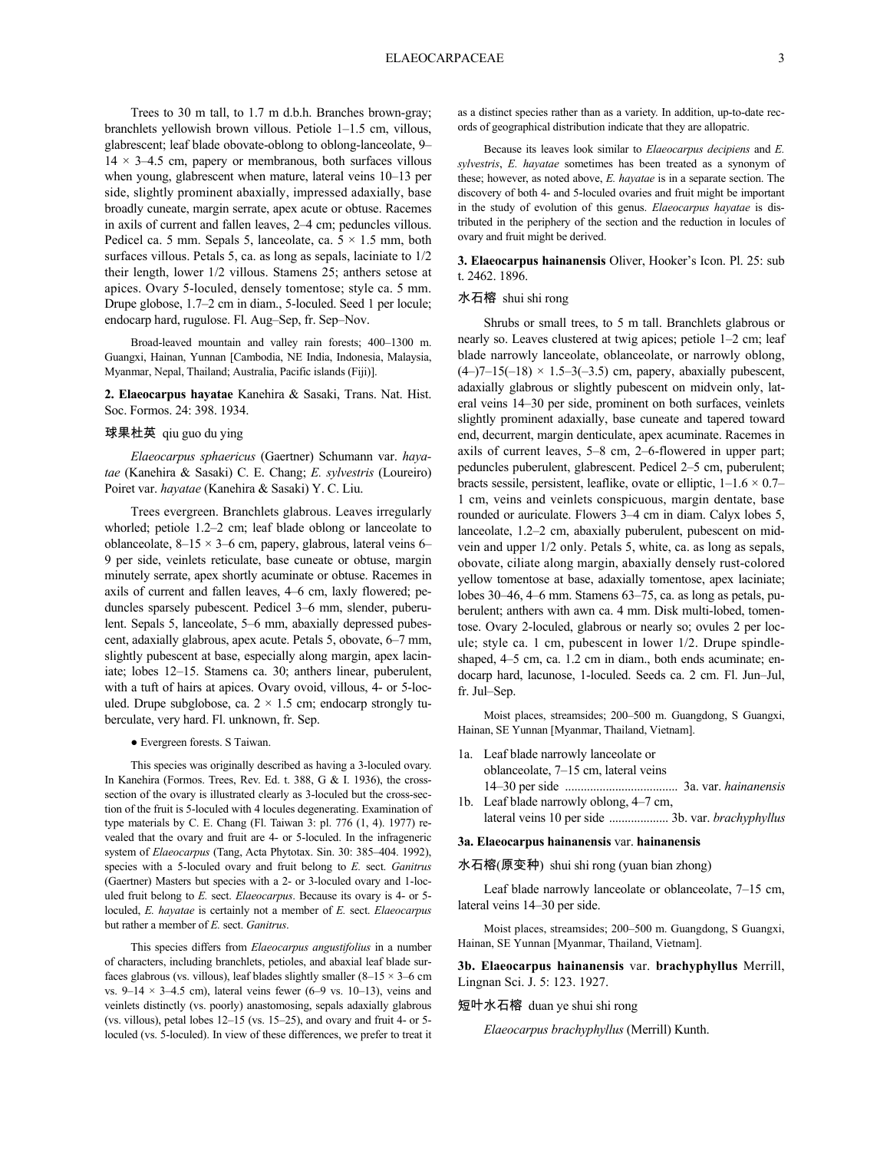Trees to 30 m tall, to 1.7 m d.b.h. Branches brown-gray; branchlets yellowish brown villous. Petiole 1–1.5 cm, villous, glabrescent; leaf blade obovate-oblong to oblong-lanceolate, 9–  $14 \times 3-4.5$  cm, papery or membranous, both surfaces villous when young, glabrescent when mature, lateral veins 10–13 per side, slightly prominent abaxially, impressed adaxially, base broadly cuneate, margin serrate, apex acute or obtuse. Racemes in axils of current and fallen leaves, 2–4 cm; peduncles villous. Pedicel ca. 5 mm. Sepals 5, lanceolate, ca.  $5 \times 1.5$  mm, both surfaces villous. Petals 5, ca. as long as sepals, laciniate to 1/2 their length, lower 1/2 villous. Stamens 25; anthers setose at apices. Ovary 5-loculed, densely tomentose; style ca. 5 mm. Drupe globose, 1.7–2 cm in diam., 5-loculed. Seed 1 per locule; endocarp hard, rugulose. Fl. Aug–Sep, fr. Sep–Nov.

Broad-leaved mountain and valley rain forests; 400–1300 m. Guangxi, Hainan, Yunnan [Cambodia, NE India, Indonesia, Malaysia, Myanmar, Nepal, Thailand; Australia, Pacific islands (Fiji)].

**2. Elaeocarpus hayatae** Kanehira & Sasaki, Trans. Nat. Hist. Soc. Formos. 24: 398. 1934.

#### 球果杜英 qiu guo du ying

*Elaeocarpus sphaericus* (Gaertner) Schumann var. *hayatae* (Kanehira & Sasaki) C. E. Chang; *E. sylvestris* (Loureiro) Poiret var. *hayatae* (Kanehira & Sasaki) Y. C. Liu.

Trees evergreen. Branchlets glabrous. Leaves irregularly whorled; petiole 1.2–2 cm; leaf blade oblong or lanceolate to oblanceolate,  $8-15 \times 3-6$  cm, papery, glabrous, lateral veins 6– 9 per side, veinlets reticulate, base cuneate or obtuse, margin minutely serrate, apex shortly acuminate or obtuse. Racemes in axils of current and fallen leaves, 4–6 cm, laxly flowered; peduncles sparsely pubescent. Pedicel 3–6 mm, slender, puberulent. Sepals 5, lanceolate, 5–6 mm, abaxially depressed pubescent, adaxially glabrous, apex acute. Petals 5, obovate, 6–7 mm, slightly pubescent at base, especially along margin, apex laciniate; lobes 12–15. Stamens ca. 30; anthers linear, puberulent, with a tuft of hairs at apices. Ovary ovoid, villous, 4- or 5-loculed. Drupe subglobose, ca.  $2 \times 1.5$  cm; endocarp strongly tuberculate, very hard. Fl. unknown, fr. Sep.

#### ● Evergreen forests. S Taiwan.

This species was originally described as having a 3-loculed ovary. In Kanehira (Formos. Trees, Rev. Ed. t. 388, G & I. 1936), the crosssection of the ovary is illustrated clearly as 3-loculed but the cross-section of the fruit is 5-loculed with 4 locules degenerating. Examination of type materials by C. E. Chang (Fl. Taiwan 3: pl. 776 (1, 4). 1977) revealed that the ovary and fruit are 4- or 5-loculed. In the infrageneric system of *Elaeocarpus* (Tang, Acta Phytotax. Sin. 30: 385–404. 1992), species with a 5-loculed ovary and fruit belong to *E.* sect. *Ganitrus* (Gaertner) Masters but species with a 2- or 3-loculed ovary and 1-loculed fruit belong to *E.* sect. *Elaeocarpus*. Because its ovary is 4- or 5 loculed, *E. hayatae* is certainly not a member of *E.* sect. *Elaeocarpus* but rather a member of *E.* sect. *Ganitrus*.

This species differs from *Elaeocarpus angustifolius* in a number of characters, including branchlets, petioles, and abaxial leaf blade surfaces glabrous (vs. villous), leaf blades slightly smaller  $(8-15 \times 3-6$  cm vs.  $9-14 \times 3-4.5$  cm), lateral veins fewer (6-9 vs. 10-13), veins and veinlets distinctly (vs. poorly) anastomosing, sepals adaxially glabrous (vs. villous), petal lobes 12–15 (vs. 15–25), and ovary and fruit 4- or 5 loculed (vs. 5-loculed). In view of these differences, we prefer to treat it as a distinct species rather than as a variety. In addition, up-to-date records of geographical distribution indicate that they are allopatric.

Because its leaves look similar to *Elaeocarpus decipiens* and *E. sylvestris*, *E. hayatae* sometimes has been treated as a synonym of these; however, as noted above, *E. hayatae* is in a separate section. The discovery of both 4- and 5-loculed ovaries and fruit might be important in the study of evolution of this genus. *Elaeocarpus hayatae* is distributed in the periphery of the section and the reduction in locules of ovary and fruit might be derived.

**3. Elaeocarpus hainanensis** Oliver, Hooker's Icon. Pl. 25: sub t. 2462. 1896.

#### 水石榕 shui shi rong

Shrubs or small trees, to 5 m tall. Branchlets glabrous or nearly so. Leaves clustered at twig apices; petiole 1–2 cm; leaf blade narrowly lanceolate, oblanceolate, or narrowly oblong,  $(4-)7-15(-18) \times 1.5-3(-3.5)$  cm, papery, abaxially pubescent, adaxially glabrous or slightly pubescent on midvein only, lateral veins 14–30 per side, prominent on both surfaces, veinlets slightly prominent adaxially, base cuneate and tapered toward end, decurrent, margin denticulate, apex acuminate. Racemes in axils of current leaves, 5–8 cm, 2–6-flowered in upper part; peduncles puberulent, glabrescent. Pedicel 2–5 cm, puberulent; bracts sessile, persistent, leaflike, ovate or elliptic,  $1-1.6 \times 0.7-$ 1 cm, veins and veinlets conspicuous, margin dentate, base rounded or auriculate. Flowers 3–4 cm in diam. Calyx lobes 5, lanceolate, 1.2–2 cm, abaxially puberulent, pubescent on midvein and upper 1/2 only. Petals 5, white, ca. as long as sepals, obovate, ciliate along margin, abaxially densely rust-colored yellow tomentose at base, adaxially tomentose, apex laciniate; lobes 30–46, 4–6 mm. Stamens 63–75, ca. as long as petals, puberulent; anthers with awn ca. 4 mm. Disk multi-lobed, tomentose. Ovary 2-loculed, glabrous or nearly so; ovules 2 per locule; style ca. 1 cm, pubescent in lower 1/2. Drupe spindleshaped, 4–5 cm, ca. 1.2 cm in diam., both ends acuminate; endocarp hard, lacunose, 1-loculed. Seeds ca. 2 cm. Fl. Jun–Jul, fr. Jul–Sep.

Moist places, streamsides; 200–500 m. Guangdong, S Guangxi, Hainan, SE Yunnan [Myanmar, Thailand, Vietnam].

- 1a. Leaf blade narrowly lanceolate or oblanceolate, 7–15 cm, lateral veins 14–30 per side .................................... 3a. var. *hainanensis*
- 1b. Leaf blade narrowly oblong, 4–7 cm, lateral veins 10 per side ................... 3b. var. *brachyphyllus*

### **3a. Elaeocarpus hainanensis** var. **hainanensis**

### 水石榕(原变种) shui shi rong (yuan bian zhong)

Leaf blade narrowly lanceolate or oblanceolate, 7–15 cm, lateral veins 14–30 per side.

Moist places, streamsides; 200–500 m. Guangdong, S Guangxi, Hainan, SE Yunnan [Myanmar, Thailand, Vietnam].

**3b. Elaeocarpus hainanensis** var. **brachyphyllus** Merrill, Lingnan Sci. J. 5: 123. 1927.

### 短叶水石榕 duan ye shui shi rong

*Elaeocarpus brachyphyllus* (Merrill) Kunth.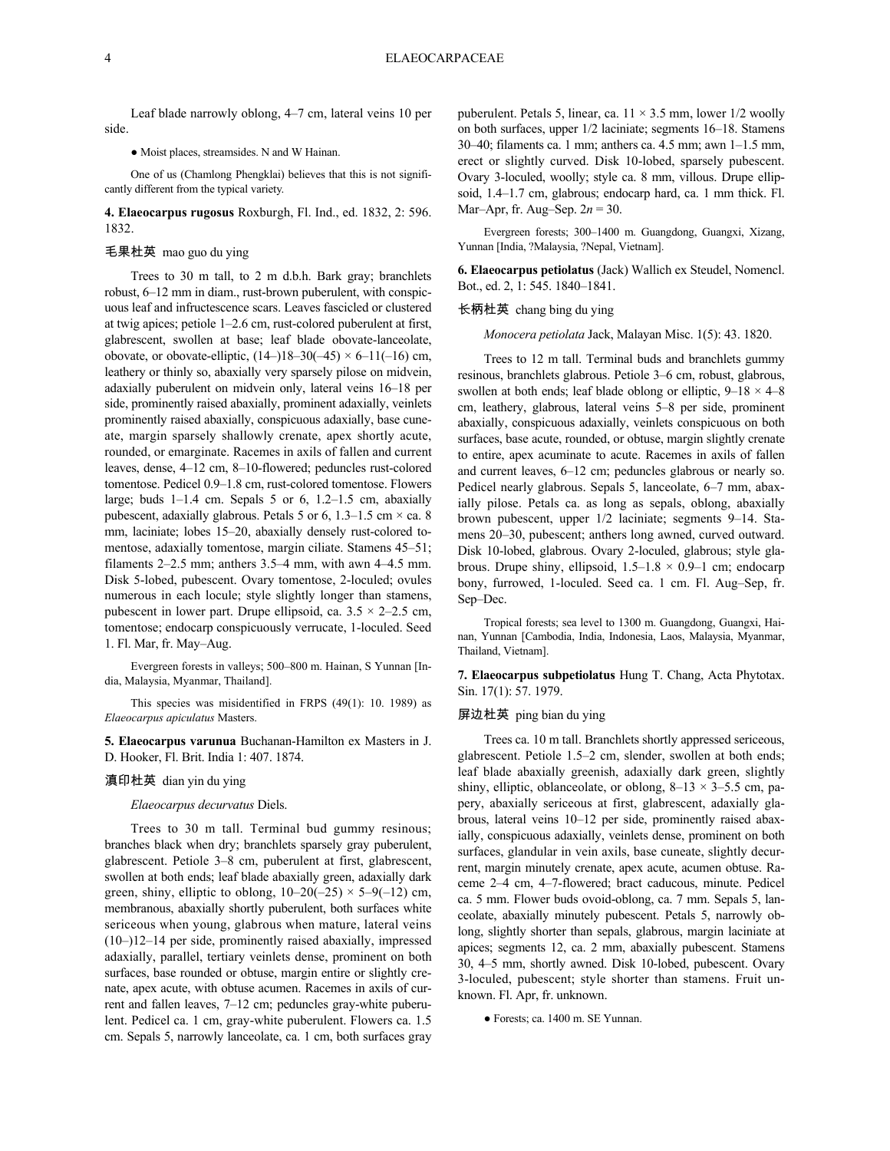Leaf blade narrowly oblong, 4–7 cm, lateral veins 10 per side.

● Moist places, streamsides. N and W Hainan.

One of us (Chamlong Phengklai) believes that this is not significantly different from the typical variety.

**4. Elaeocarpus rugosus** Roxburgh, Fl. Ind., ed. 1832, 2: 596. 1832.

#### 毛果杜英 mao guo du ying

Trees to 30 m tall, to 2 m d.b.h. Bark gray; branchlets robust, 6–12 mm in diam., rust-brown puberulent, with conspicuous leaf and infructescence scars. Leaves fascicled or clustered at twig apices; petiole 1–2.6 cm, rust-colored puberulent at first, glabrescent, swollen at base; leaf blade obovate-lanceolate, obovate, or obovate-elliptic,  $(14-)18-30(-45) \times 6-11(-16)$  cm, leathery or thinly so, abaxially very sparsely pilose on midvein, adaxially puberulent on midvein only, lateral veins 16–18 per side, prominently raised abaxially, prominent adaxially, veinlets prominently raised abaxially, conspicuous adaxially, base cuneate, margin sparsely shallowly crenate, apex shortly acute, rounded, or emarginate. Racemes in axils of fallen and current leaves, dense, 4–12 cm, 8–10-flowered; peduncles rust-colored tomentose. Pedicel 0.9–1.8 cm, rust-colored tomentose. Flowers large; buds  $1-1.4$  cm. Sepals 5 or 6,  $1.2-1.5$  cm, abaxially pubescent, adaxially glabrous. Petals 5 or 6, 1.3–1.5 cm  $\times$  ca. 8 mm, laciniate; lobes 15–20, abaxially densely rust-colored tomentose, adaxially tomentose, margin ciliate. Stamens 45–51; filaments 2–2.5 mm; anthers 3.5–4 mm, with awn 4–4.5 mm. Disk 5-lobed, pubescent. Ovary tomentose, 2-loculed; ovules numerous in each locule; style slightly longer than stamens, pubescent in lower part. Drupe ellipsoid, ca.  $3.5 \times 2-2.5$  cm, tomentose; endocarp conspicuously verrucate, 1-loculed. Seed 1. Fl. Mar, fr. May–Aug.

Evergreen forests in valleys; 500–800 m. Hainan, S Yunnan [India, Malaysia, Myanmar, Thailand].

This species was misidentified in FRPS (49(1): 10. 1989) as *Elaeocarpus apiculatus* Masters.

**5. Elaeocarpus varunua** Buchanan-Hamilton ex Masters in J. D. Hooker, Fl. Brit. India 1: 407. 1874.

#### 滇印杜英 dian yin du ying

#### *Elaeocarpus decurvatus* Diels.

Trees to 30 m tall. Terminal bud gummy resinous; branches black when dry; branchlets sparsely gray puberulent, glabrescent. Petiole 3–8 cm, puberulent at first, glabrescent, swollen at both ends; leaf blade abaxially green, adaxially dark green, shiny, elliptic to oblong,  $10-20(-25) \times 5-9(-12)$  cm, membranous, abaxially shortly puberulent, both surfaces white sericeous when young, glabrous when mature, lateral veins (10–)12–14 per side, prominently raised abaxially, impressed adaxially, parallel, tertiary veinlets dense, prominent on both surfaces, base rounded or obtuse, margin entire or slightly crenate, apex acute, with obtuse acumen. Racemes in axils of current and fallen leaves, 7–12 cm; peduncles gray-white puberulent. Pedicel ca. 1 cm, gray-white puberulent. Flowers ca. 1.5 cm. Sepals 5, narrowly lanceolate, ca. 1 cm, both surfaces gray puberulent. Petals 5, linear, ca.  $11 \times 3.5$  mm, lower  $1/2$  woolly on both surfaces, upper 1/2 laciniate; segments 16–18. Stamens 30–40; filaments ca. 1 mm; anthers ca. 4.5 mm; awn 1–1.5 mm, erect or slightly curved. Disk 10-lobed, sparsely pubescent. Ovary 3-loculed, woolly; style ca. 8 mm, villous. Drupe ellipsoid, 1.4–1.7 cm, glabrous; endocarp hard, ca. 1 mm thick. Fl. Mar–Apr, fr. Aug–Sep. 2*n* = 30.

Evergreen forests; 300–1400 m. Guangdong, Guangxi, Xizang, Yunnan [India, ?Malaysia, ?Nepal, Vietnam].

**6. Elaeocarpus petiolatus** (Jack) Wallich ex Steudel, Nomencl. Bot., ed. 2, 1: 545. 1840–1841.

### 长柄杜英 chang bing du ying

*Monocera petiolata* Jack, Malayan Misc. 1(5): 43. 1820.

Trees to 12 m tall. Terminal buds and branchlets gummy resinous, branchlets glabrous. Petiole 3–6 cm, robust, glabrous, swollen at both ends; leaf blade oblong or elliptic,  $9-18 \times 4-8$ cm, leathery, glabrous, lateral veins 5–8 per side, prominent abaxially, conspicuous adaxially, veinlets conspicuous on both surfaces, base acute, rounded, or obtuse, margin slightly crenate to entire, apex acuminate to acute. Racemes in axils of fallen and current leaves, 6–12 cm; peduncles glabrous or nearly so. Pedicel nearly glabrous. Sepals 5, lanceolate, 6–7 mm, abaxially pilose. Petals ca. as long as sepals, oblong, abaxially brown pubescent, upper 1/2 laciniate; segments 9–14. Stamens 20–30, pubescent; anthers long awned, curved outward. Disk 10-lobed, glabrous. Ovary 2-loculed, glabrous; style glabrous. Drupe shiny, ellipsoid,  $1.5-1.8 \times 0.9-1$  cm; endocarp bony, furrowed, 1-loculed. Seed ca. 1 cm. Fl. Aug–Sep, fr. Sep–Dec.

Tropical forests; sea level to 1300 m. Guangdong, Guangxi, Hainan, Yunnan [Cambodia, India, Indonesia, Laos, Malaysia, Myanmar, Thailand, Vietnam].

**7. Elaeocarpus subpetiolatus** Hung T. Chang, Acta Phytotax. Sin. 17(1): 57. 1979.

### 屏边杜英 ping bian du ying

Trees ca. 10 m tall. Branchlets shortly appressed sericeous, glabrescent. Petiole 1.5–2 cm, slender, swollen at both ends; leaf blade abaxially greenish, adaxially dark green, slightly shiny, elliptic, oblanceolate, or oblong,  $8-13 \times 3-5.5$  cm, papery, abaxially sericeous at first, glabrescent, adaxially glabrous, lateral veins 10–12 per side, prominently raised abaxially, conspicuous adaxially, veinlets dense, prominent on both surfaces, glandular in vein axils, base cuneate, slightly decurrent, margin minutely crenate, apex acute, acumen obtuse. Raceme 2–4 cm, 4–7-flowered; bract caducous, minute. Pedicel ca. 5 mm. Flower buds ovoid-oblong, ca. 7 mm. Sepals 5, lanceolate, abaxially minutely pubescent. Petals 5, narrowly oblong, slightly shorter than sepals, glabrous, margin laciniate at apices; segments 12, ca. 2 mm, abaxially pubescent. Stamens 30, 4–5 mm, shortly awned. Disk 10-lobed, pubescent. Ovary 3-loculed, pubescent; style shorter than stamens. Fruit unknown. Fl. Apr, fr. unknown.

● Forests; ca. 1400 m. SE Yunnan.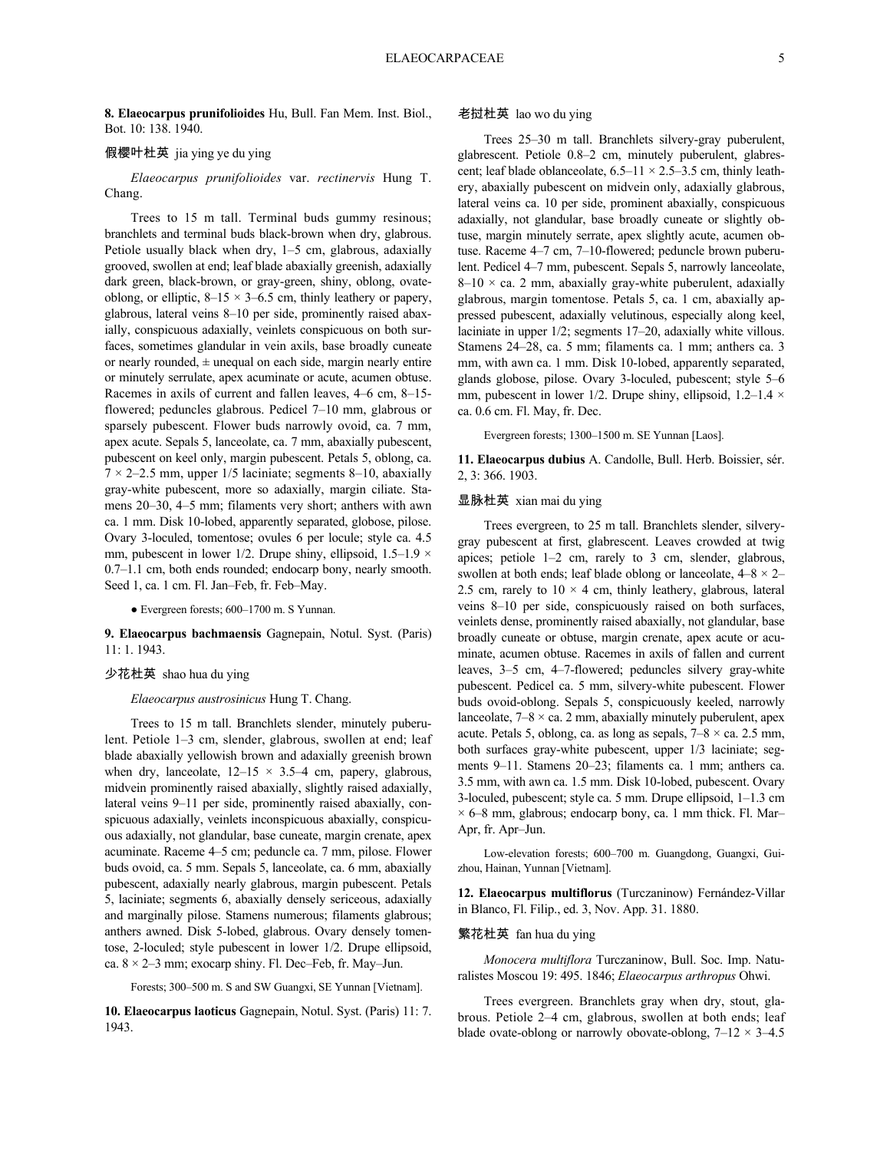**8. Elaeocarpus prunifolioides** Hu, Bull. Fan Mem. Inst. Biol., Bot. 10: 138. 1940.

### 假樱叶杜英 jia ying ye du ying

*Elaeocarpus prunifolioides* var. *rectinervis* Hung T. Chang.

Trees to 15 m tall. Terminal buds gummy resinous; branchlets and terminal buds black-brown when dry, glabrous. Petiole usually black when dry, 1–5 cm, glabrous, adaxially grooved, swollen at end; leaf blade abaxially greenish, adaxially dark green, black-brown, or gray-green, shiny, oblong, ovateoblong, or elliptic,  $8-15 \times 3-6.5$  cm, thinly leathery or papery, glabrous, lateral veins 8–10 per side, prominently raised abaxially, conspicuous adaxially, veinlets conspicuous on both surfaces, sometimes glandular in vein axils, base broadly cuneate or nearly rounded,  $\pm$  unequal on each side, margin nearly entire or minutely serrulate, apex acuminate or acute, acumen obtuse. Racemes in axils of current and fallen leaves, 4–6 cm, 8–15 flowered; peduncles glabrous. Pedicel 7–10 mm, glabrous or sparsely pubescent. Flower buds narrowly ovoid, ca. 7 mm, apex acute. Sepals 5, lanceolate, ca. 7 mm, abaxially pubescent, pubescent on keel only, margin pubescent. Petals 5, oblong, ca.  $7 \times 2 - 2.5$  mm, upper 1/5 laciniate; segments 8–10, abaxially gray-white pubescent, more so adaxially, margin ciliate. Stamens 20–30, 4–5 mm; filaments very short; anthers with awn ca. 1 mm. Disk 10-lobed, apparently separated, globose, pilose. Ovary 3-loculed, tomentose; ovules 6 per locule; style ca. 4.5 mm, pubescent in lower 1/2. Drupe shiny, ellipsoid,  $1.5-1.9 \times$ 0.7–1.1 cm, both ends rounded; endocarp bony, nearly smooth. Seed 1, ca. 1 cm. Fl. Jan–Feb, fr. Feb–May.

● Evergreen forests; 600–1700 m. S Yunnan.

**9. Elaeocarpus bachmaensis** Gagnepain, Notul. Syst. (Paris) 11: 1. 1943.

#### 少花杜英 shao hua du ying

*Elaeocarpus austrosinicus* Hung T. Chang.

Trees to 15 m tall. Branchlets slender, minutely puberulent. Petiole 1–3 cm, slender, glabrous, swollen at end; leaf blade abaxially yellowish brown and adaxially greenish brown when dry, lanceolate,  $12-15 \times 3.5-4$  cm, papery, glabrous, midvein prominently raised abaxially, slightly raised adaxially, lateral veins 9–11 per side, prominently raised abaxially, conspicuous adaxially, veinlets inconspicuous abaxially, conspicuous adaxially, not glandular, base cuneate, margin crenate, apex acuminate. Raceme 4–5 cm; peduncle ca. 7 mm, pilose. Flower buds ovoid, ca. 5 mm. Sepals 5, lanceolate, ca. 6 mm, abaxially pubescent, adaxially nearly glabrous, margin pubescent. Petals 5, laciniate; segments 6, abaxially densely sericeous, adaxially and marginally pilose. Stamens numerous; filaments glabrous; anthers awned. Disk 5-lobed, glabrous. Ovary densely tomentose, 2-loculed; style pubescent in lower 1/2. Drupe ellipsoid, ca.  $8 \times 2 - 3$  mm; exocarp shiny. Fl. Dec–Feb, fr. May–Jun.

Forests; 300–500 m. S and SW Guangxi, SE Yunnan [Vietnam].

**10. Elaeocarpus laoticus** Gagnepain, Notul. Syst. (Paris) 11: 7. 1943.

#### 老挝杜英 lao wo du ying

Trees 25–30 m tall. Branchlets silvery-gray puberulent, glabrescent. Petiole 0.8–2 cm, minutely puberulent, glabrescent; leaf blade oblanceolate,  $6.5-11 \times 2.5-3.5$  cm, thinly leathery, abaxially pubescent on midvein only, adaxially glabrous, lateral veins ca. 10 per side, prominent abaxially, conspicuous adaxially, not glandular, base broadly cuneate or slightly obtuse, margin minutely serrate, apex slightly acute, acumen obtuse. Raceme 4–7 cm, 7–10-flowered; peduncle brown puberulent. Pedicel 4–7 mm, pubescent. Sepals 5, narrowly lanceolate,  $8-10 \times$  ca. 2 mm, abaxially gray-white puberulent, adaxially glabrous, margin tomentose. Petals 5, ca. 1 cm, abaxially appressed pubescent, adaxially velutinous, especially along keel, laciniate in upper 1/2; segments 17–20, adaxially white villous. Stamens 24–28, ca. 5 mm; filaments ca. 1 mm; anthers ca. 3 mm, with awn ca. 1 mm. Disk 10-lobed, apparently separated, glands globose, pilose. Ovary 3-loculed, pubescent; style 5–6 mm, pubescent in lower 1/2. Drupe shiny, ellipsoid,  $1.2-1.4 \times$ ca. 0.6 cm. Fl. May, fr. Dec.

Evergreen forests; 1300–1500 m. SE Yunnan [Laos].

**11. Elaeocarpus dubius** A. Candolle, Bull. Herb. Boissier, sér. 2, 3: 366. 1903.

### 显脉杜英 xian mai du ying

Trees evergreen, to 25 m tall. Branchlets slender, silverygray pubescent at first, glabrescent. Leaves crowded at twig apices; petiole 1–2 cm, rarely to 3 cm, slender, glabrous, swollen at both ends; leaf blade oblong or lanceolate,  $4-8 \times 2-$ 2.5 cm, rarely to  $10 \times 4$  cm, thinly leathery, glabrous, lateral veins 8–10 per side, conspicuously raised on both surfaces, veinlets dense, prominently raised abaxially, not glandular, base broadly cuneate or obtuse, margin crenate, apex acute or acuminate, acumen obtuse. Racemes in axils of fallen and current leaves, 3–5 cm, 4–7-flowered; peduncles silvery gray-white pubescent. Pedicel ca. 5 mm, silvery-white pubescent. Flower buds ovoid-oblong. Sepals 5, conspicuously keeled, narrowly lanceolate,  $7-8 \times$  ca. 2 mm, abaxially minutely puberulent, apex acute. Petals 5, oblong, ca. as long as sepals,  $7-8 \times$  ca. 2.5 mm, both surfaces gray-white pubescent, upper 1/3 laciniate; segments 9–11. Stamens 20–23; filaments ca. 1 mm; anthers ca. 3.5 mm, with awn ca. 1.5 mm. Disk 10-lobed, pubescent. Ovary 3-loculed, pubescent; style ca. 5 mm. Drupe ellipsoid, 1–1.3 cm  $\times$  6–8 mm, glabrous; endocarp bony, ca. 1 mm thick. Fl. Mar– Apr, fr. Apr–Jun.

Low-elevation forests; 600–700 m. Guangdong, Guangxi, Guizhou, Hainan, Yunnan [Vietnam].

**12. Elaeocarpus multiflorus** (Turczaninow) Fernández-Villar in Blanco, Fl. Filip., ed. 3, Nov. App. 31. 1880.

### 繁花杜英 fan hua du ying

*Monocera multiflora* Turczaninow, Bull. Soc. Imp. Naturalistes Moscou 19: 495. 1846; *Elaeocarpus arthropus* Ohwi.

Trees evergreen. Branchlets gray when dry, stout, glabrous. Petiole 2–4 cm, glabrous, swollen at both ends; leaf blade ovate-oblong or narrowly obovate-oblong,  $7-12 \times 3-4.5$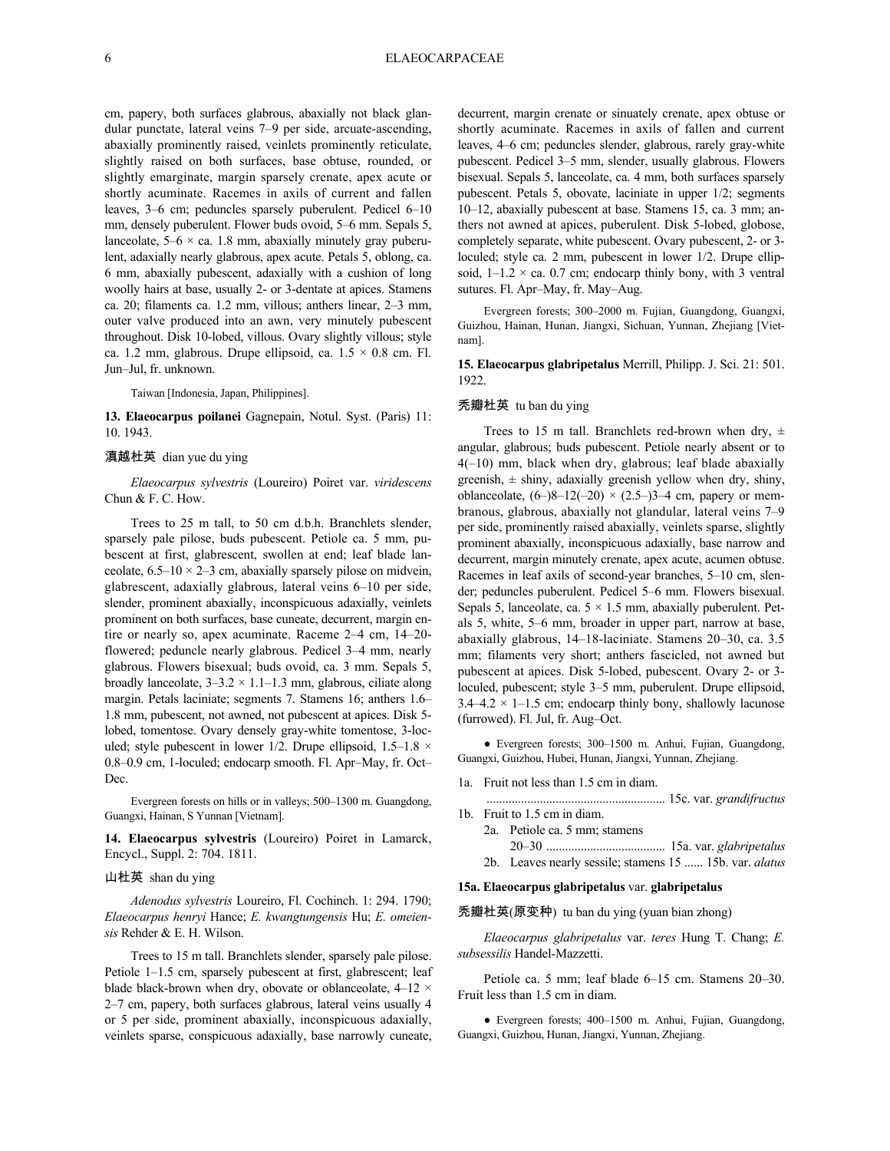cm, papery, both surfaces glabrous, abaxially not black glandular punctate, lateral veins 7–9 per side, arcuate-ascending, abaxially prominently raised, veinlets prominently reticulate, slightly raised on both surfaces, base obtuse, rounded, or slightly emarginate, margin sparsely crenate, apex acute or shortly acuminate. Racemes in axils of current and fallen leaves, 3–6 cm; peduncles sparsely puberulent. Pedicel 6–10 mm, densely puberulent. Flower buds ovoid, 5–6 mm. Sepals 5, lanceolate,  $5-6 \times ca$ . 1.8 mm, abaxially minutely gray puberulent, adaxially nearly glabrous, apex acute. Petals 5, oblong, ca. 6 mm, abaxially pubescent, adaxially with a cushion of long woolly hairs at base, usually 2- or 3-dentate at apices. Stamens ca. 20; filaments ca. 1.2 mm, villous; anthers linear, 2–3 mm, outer valve produced into an awn, very minutely pubescent throughout. Disk 10-lobed, villous. Ovary slightly villous; style ca. 1.2 mm, glabrous. Drupe ellipsoid, ca.  $1.5 \times 0.8$  cm. Fl. Jun–Jul, fr. unknown.

Taiwan [Indonesia, Japan, Philippines].

**13. Elaeocarpus poilanei** Gagnepain, Notul. Syst. (Paris) 11: 10. 1943.

### 滇越杜英 dian yue du ying

*Elaeocarpus sylvestris* (Loureiro) Poiret var. *viridescens* Chun & F. C. How.

Trees to 25 m tall, to 50 cm d.b.h. Branchlets slender, sparsely pale pilose, buds pubescent. Petiole ca. 5 mm, pubescent at first, glabrescent, swollen at end; leaf blade lanceolate,  $6.5-10 \times 2-3$  cm, abaxially sparsely pilose on midvein, glabrescent, adaxially glabrous, lateral veins 6–10 per side, slender, prominent abaxially, inconspicuous adaxially, veinlets prominent on both surfaces, base cuneate, decurrent, margin entire or nearly so, apex acuminate. Raceme 2–4 cm, 14–20 flowered; peduncle nearly glabrous. Pedicel 3–4 mm, nearly glabrous. Flowers bisexual; buds ovoid, ca. 3 mm. Sepals 5, broadly lanceolate,  $3-3.2 \times 1.1-1.3$  mm, glabrous, ciliate along margin. Petals laciniate; segments 7. Stamens 16; anthers 1.6– 1.8 mm, pubescent, not awned, not pubescent at apices. Disk 5 lobed, tomentose. Ovary densely gray-white tomentose, 3-loculed; style pubescent in lower 1/2. Drupe ellipsoid,  $1.5-1.8 \times$ 0.8–0.9 cm, 1-loculed; endocarp smooth. Fl. Apr–May, fr. Oct– Dec.

Evergreen forests on hills or in valleys; 500–1300 m. Guangdong, Guangxi, Hainan, S Yunnan [Vietnam].

**14. Elaeocarpus sylvestris** (Loureiro) Poiret in Lamarck, Encycl., Suppl. 2: 704. 1811.

### 山杜英 shan du ying

*Adenodus sylvestris* Loureiro, Fl. Cochinch. 1: 294. 1790; *Elaeocarpus henryi* Hance; *E. kwangtungensis* Hu; *E. omeiensis* Rehder & E. H. Wilson.

Trees to 15 m tall. Branchlets slender, sparsely pale pilose. Petiole 1–1.5 cm, sparsely pubescent at first, glabrescent; leaf blade black-brown when dry, obovate or oblanceolate,  $4-12 \times$ 2–7 cm, papery, both surfaces glabrous, lateral veins usually 4 or 5 per side, prominent abaxially, inconspicuous adaxially, veinlets sparse, conspicuous adaxially, base narrowly cuneate,

decurrent, margin crenate or sinuately crenate, apex obtuse or shortly acuminate. Racemes in axils of fallen and current leaves, 4–6 cm; peduncles slender, glabrous, rarely gray-white pubescent. Pedicel 3–5 mm, slender, usually glabrous. Flowers bisexual. Sepals 5, lanceolate, ca. 4 mm, both surfaces sparsely pubescent. Petals 5, obovate, laciniate in upper 1/2; segments 10–12, abaxially pubescent at base. Stamens 15, ca. 3 mm; anthers not awned at apices, puberulent. Disk 5-lobed, globose, completely separate, white pubescent. Ovary pubescent, 2- or 3 loculed; style ca. 2 mm, pubescent in lower 1/2. Drupe ellipsoid,  $1-1.2 \times$  ca. 0.7 cm; endocarp thinly bony, with 3 ventral sutures. Fl. Apr–May, fr. May–Aug.

Evergreen forests; 300–2000 m. Fujian, Guangdong, Guangxi, Guizhou, Hainan, Hunan, Jiangxi, Sichuan, Yunnan, Zhejiang [Vietnam].

**15. Elaeocarpus glabripetalus** Merrill, Philipp. J. Sci. 21: 501. 1922.

### 秃瓣杜英 tu ban du ying

Trees to 15 m tall. Branchlets red-brown when dry,  $\pm$ angular, glabrous; buds pubescent. Petiole nearly absent or to 4(–10) mm, black when dry, glabrous; leaf blade abaxially greenish,  $\pm$  shiny, adaxially greenish yellow when dry, shiny, oblanceolate,  $(6-)8-12(-20) \times (2.5-)3-4$  cm, papery or membranous, glabrous, abaxially not glandular, lateral veins 7–9 per side, prominently raised abaxially, veinlets sparse, slightly prominent abaxially, inconspicuous adaxially, base narrow and decurrent, margin minutely crenate, apex acute, acumen obtuse. Racemes in leaf axils of second-year branches, 5–10 cm, slender; peduncles puberulent. Pedicel 5–6 mm. Flowers bisexual. Sepals 5, lanceolate, ca.  $5 \times 1.5$  mm, abaxially puberulent. Petals 5, white, 5–6 mm, broader in upper part, narrow at base, abaxially glabrous, 14–18-laciniate. Stamens 20–30, ca. 3.5 mm; filaments very short; anthers fascicled, not awned but pubescent at apices. Disk 5-lobed, pubescent. Ovary 2- or 3 loculed, pubescent; style 3–5 mm, puberulent. Drupe ellipsoid,  $3.4-4.2 \times 1-1.5$  cm; endocarp thinly bony, shallowly lacunose (furrowed). Fl. Jul, fr. Aug–Oct.

● Evergreen forests; 300–1500 m. Anhui, Fujian, Guangdong, Guangxi, Guizhou, Hubei, Hunan, Jiangxi, Yunnan, Zhejiang.

- 1a. Fruit not less than 1.5 cm in diam.
- ......................................................... 15c. var. *grandifructus*
- 1b. Fruit to 1.5 cm in diam.
	- 2a. Petiole ca. 5 mm; stamens 20–30 ...................................... 15a. var. *glabripetalus*
	- 2b. Leaves nearly sessile; stamens 15 ...... 15b. var. *alatus*

### **15a. Elaeocarpus glabripetalus** var. **glabripetalus**

### 秃瓣杜英(原变种) tu ban du ying (yuan bian zhong)

*Elaeocarpus glabripetalus* var. *teres* Hung T. Chang; *E. subsessilis* Handel-Mazzetti.

Petiole ca. 5 mm; leaf blade 6–15 cm. Stamens 20–30. Fruit less than 1.5 cm in diam.

● Evergreen forests; 400–1500 m. Anhui, Fujian, Guangdong, Guangxi, Guizhou, Hunan, Jiangxi, Yunnan, Zhejiang.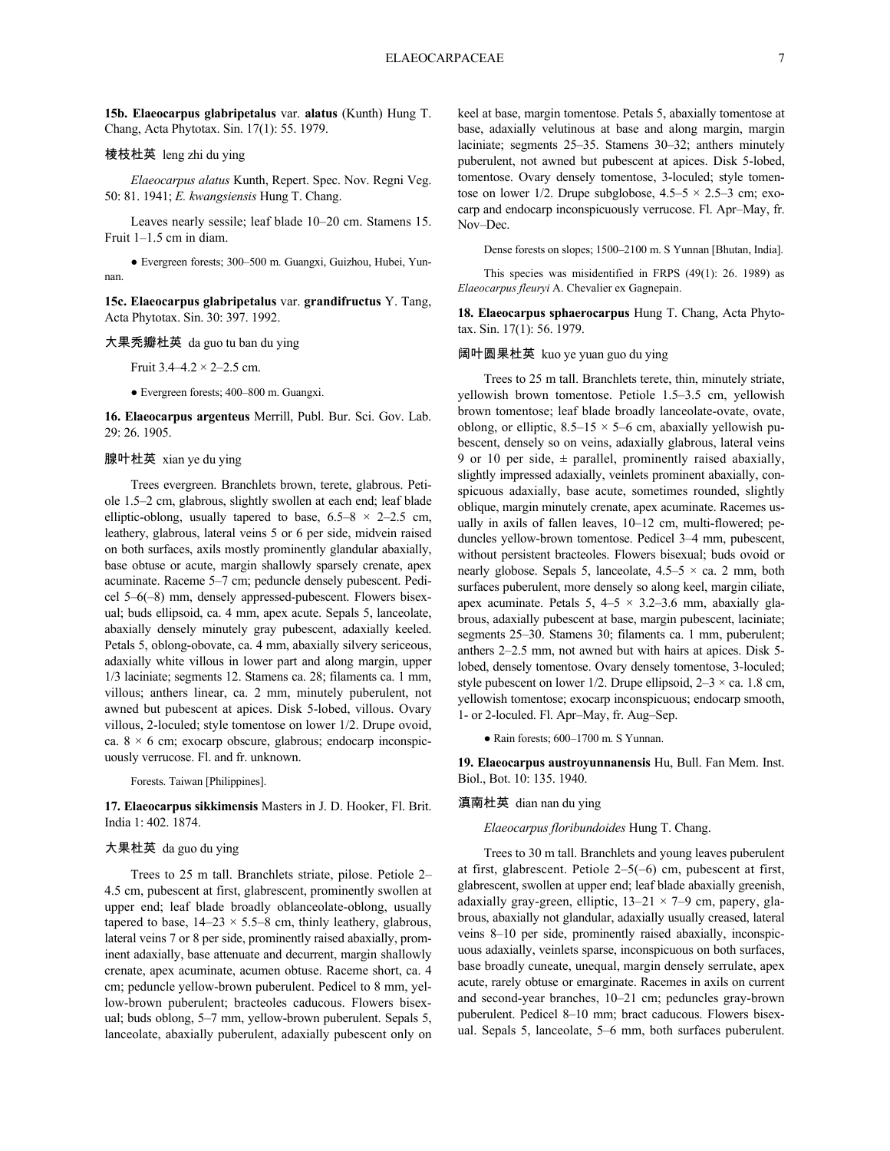**15b. Elaeocarpus glabripetalus** var. **alatus** (Kunth) Hung T. Chang, Acta Phytotax. Sin. 17(1): 55. 1979.

### 棱枝杜英 leng zhi du ying

*Elaeocarpus alatus* Kunth, Repert. Spec. Nov. Regni Veg. 50: 81. 1941; *E. kwangsiensis* Hung T. Chang.

Leaves nearly sessile; leaf blade 10–20 cm. Stamens 15. Fruit 1–1.5 cm in diam.

● Evergreen forests; 300–500 m. Guangxi, Guizhou, Hubei, Yunnan.

**15c. Elaeocarpus glabripetalus** var. **grandifructus** Y. Tang, Acta Phytotax. Sin. 30: 397. 1992.

### 大果秃瓣杜英 da guo tu ban du ying

Fruit  $3.4 - 4.2 \times 2 - 2.5$  cm.

● Evergreen forests; 400–800 m. Guangxi.

**16. Elaeocarpus argenteus** Merrill, Publ. Bur. Sci. Gov. Lab. 29: 26. 1905.

# 腺叶杜英 xian ye du ying

Trees evergreen. Branchlets brown, terete, glabrous. Petiole 1.5–2 cm, glabrous, slightly swollen at each end; leaf blade elliptic-oblong, usually tapered to base,  $6.5-8 \times 2-2.5$  cm, leathery, glabrous, lateral veins 5 or 6 per side, midvein raised on both surfaces, axils mostly prominently glandular abaxially, base obtuse or acute, margin shallowly sparsely crenate, apex acuminate. Raceme 5–7 cm; peduncle densely pubescent. Pedicel 5–6(–8) mm, densely appressed-pubescent. Flowers bisexual; buds ellipsoid, ca. 4 mm, apex acute. Sepals 5, lanceolate, abaxially densely minutely gray pubescent, adaxially keeled. Petals 5, oblong-obovate, ca. 4 mm, abaxially silvery sericeous, adaxially white villous in lower part and along margin, upper 1/3 laciniate; segments 12. Stamens ca. 28; filaments ca. 1 mm, villous; anthers linear, ca. 2 mm, minutely puberulent, not awned but pubescent at apices. Disk 5-lobed, villous. Ovary villous, 2-loculed; style tomentose on lower 1/2. Drupe ovoid, ca.  $8 \times 6$  cm; exocarp obscure, glabrous; endocarp inconspicuously verrucose. Fl. and fr. unknown.

Forests. Taiwan [Philippines].

**17. Elaeocarpus sikkimensis** Masters in J. D. Hooker, Fl. Brit. India 1: 402. 1874.

### 大果杜英 da guo du ying

Trees to 25 m tall. Branchlets striate, pilose. Petiole 2– 4.5 cm, pubescent at first, glabrescent, prominently swollen at upper end; leaf blade broadly oblanceolate-oblong, usually tapered to base,  $14-23 \times 5.5-8$  cm, thinly leathery, glabrous, lateral veins 7 or 8 per side, prominently raised abaxially, prominent adaxially, base attenuate and decurrent, margin shallowly crenate, apex acuminate, acumen obtuse. Raceme short, ca. 4 cm; peduncle yellow-brown puberulent. Pedicel to 8 mm, yellow-brown puberulent; bracteoles caducous. Flowers bisexual; buds oblong, 5–7 mm, yellow-brown puberulent. Sepals 5, lanceolate, abaxially puberulent, adaxially pubescent only on keel at base, margin tomentose. Petals 5, abaxially tomentose at base, adaxially velutinous at base and along margin, margin laciniate; segments 25–35. Stamens 30–32; anthers minutely puberulent, not awned but pubescent at apices. Disk 5-lobed, tomentose. Ovary densely tomentose, 3-loculed; style tomentose on lower 1/2. Drupe subglobose,  $4.5-5 \times 2.5-3$  cm; exocarp and endocarp inconspicuously verrucose. Fl. Apr–May, fr. Nov–Dec.

Dense forests on slopes; 1500–2100 m. S Yunnan [Bhutan, India].

This species was misidentified in FRPS (49(1): 26. 1989) as *Elaeocarpus fleuryi* A. Chevalier ex Gagnepain.

**18. Elaeocarpus sphaerocarpus** Hung T. Chang, Acta Phytotax. Sin. 17(1): 56. 1979.

阔叶圆果杜英 kuo ye yuan guo du ying

Trees to 25 m tall. Branchlets terete, thin, minutely striate, yellowish brown tomentose. Petiole 1.5–3.5 cm, yellowish brown tomentose; leaf blade broadly lanceolate-ovate, ovate, oblong, or elliptic,  $8.5-15 \times 5-6$  cm, abaxially yellowish pubescent, densely so on veins, adaxially glabrous, lateral veins 9 or 10 per side,  $\pm$  parallel, prominently raised abaxially, slightly impressed adaxially, veinlets prominent abaxially, conspicuous adaxially, base acute, sometimes rounded, slightly oblique, margin minutely crenate, apex acuminate. Racemes usually in axils of fallen leaves, 10–12 cm, multi-flowered; peduncles yellow-brown tomentose. Pedicel 3–4 mm, pubescent, without persistent bracteoles. Flowers bisexual; buds ovoid or nearly globose. Sepals 5, lanceolate,  $4.5-5 \times$  ca. 2 mm, both surfaces puberulent, more densely so along keel, margin ciliate, apex acuminate. Petals 5,  $4-5 \times 3.2-3.6$  mm, abaxially glabrous, adaxially pubescent at base, margin pubescent, laciniate; segments 25–30. Stamens 30; filaments ca. 1 mm, puberulent; anthers 2–2.5 mm, not awned but with hairs at apices. Disk 5 lobed, densely tomentose. Ovary densely tomentose, 3-loculed; style pubescent on lower 1/2. Drupe ellipsoid,  $2-3 \times$  ca. 1.8 cm, yellowish tomentose; exocarp inconspicuous; endocarp smooth, 1- or 2-loculed. Fl. Apr–May, fr. Aug–Sep.

● Rain forests; 600–1700 m. S Yunnan.

**19. Elaeocarpus austroyunnanensis** Hu, Bull. Fan Mem. Inst. Biol., Bot. 10: 135. 1940.

#### 滇南杜英 dian nan du ying

#### *Elaeocarpus floribundoides* Hung T. Chang.

Trees to 30 m tall. Branchlets and young leaves puberulent at first, glabrescent. Petiole 2–5(–6) cm, pubescent at first, glabrescent, swollen at upper end; leaf blade abaxially greenish, adaxially gray-green, elliptic,  $13-21 \times 7-9$  cm, papery, glabrous, abaxially not glandular, adaxially usually creased, lateral veins 8–10 per side, prominently raised abaxially, inconspicuous adaxially, veinlets sparse, inconspicuous on both surfaces, base broadly cuneate, unequal, margin densely serrulate, apex acute, rarely obtuse or emarginate. Racemes in axils on current and second-year branches, 10–21 cm; peduncles gray-brown puberulent. Pedicel 8–10 mm; bract caducous. Flowers bisexual. Sepals 5, lanceolate, 5–6 mm, both surfaces puberulent.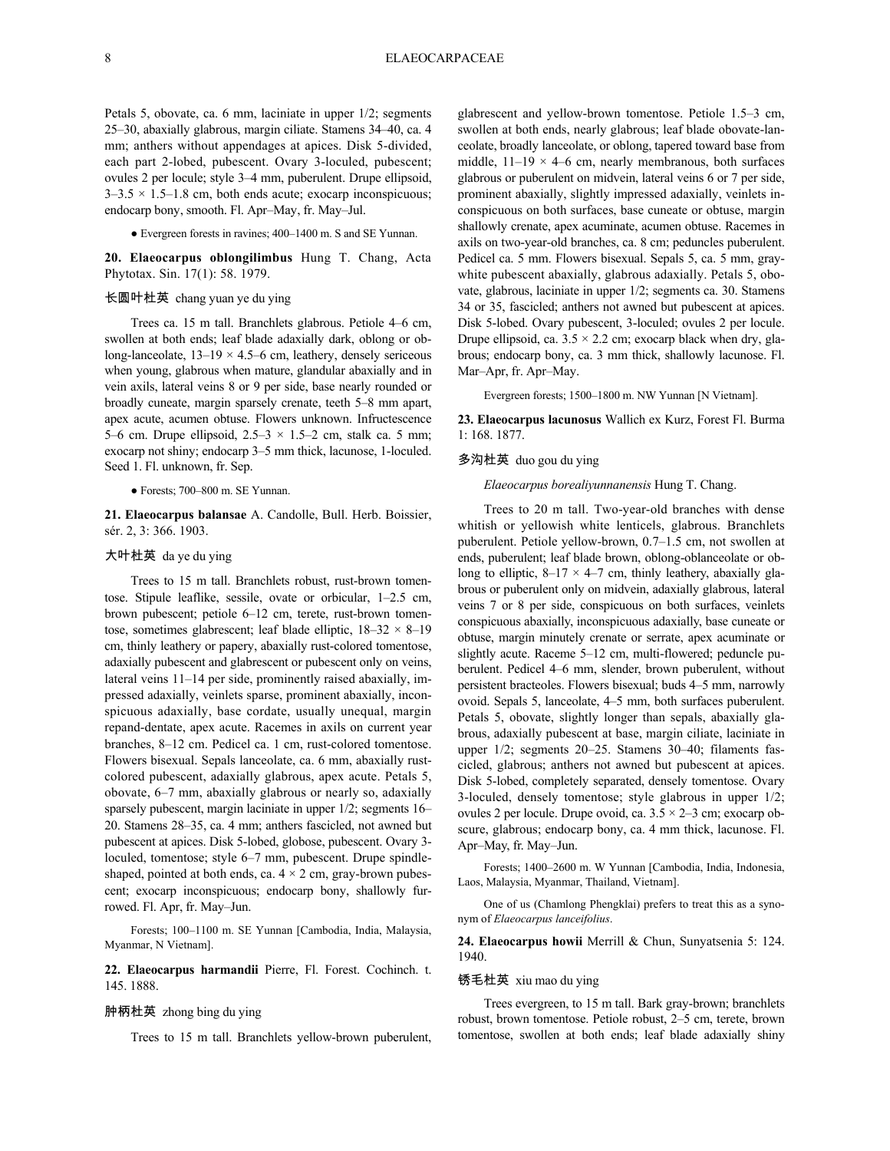Petals 5, obovate, ca. 6 mm, laciniate in upper 1/2; segments 25–30, abaxially glabrous, margin ciliate. Stamens 34–40, ca. 4 mm; anthers without appendages at apices. Disk 5-divided, each part 2-lobed, pubescent. Ovary 3-loculed, pubescent; ovules 2 per locule; style 3–4 mm, puberulent. Drupe ellipsoid,  $3-3.5 \times 1.5-1.8$  cm, both ends acute; exocarp inconspicuous; endocarp bony, smooth. Fl. Apr–May, fr. May–Jul.

● Evergreen forests in ravines; 400–1400 m. S and SE Yunnan.

**20. Elaeocarpus oblongilimbus** Hung T. Chang, Acta Phytotax. Sin. 17(1): 58. 1979.

### 长圆叶杜英 chang yuan ye du ying

Trees ca. 15 m tall. Branchlets glabrous. Petiole 4–6 cm, swollen at both ends; leaf blade adaxially dark, oblong or oblong-lanceolate,  $13-19 \times 4.5-6$  cm, leathery, densely sericeous when young, glabrous when mature, glandular abaxially and in vein axils, lateral veins 8 or 9 per side, base nearly rounded or broadly cuneate, margin sparsely crenate, teeth 5–8 mm apart, apex acute, acumen obtuse. Flowers unknown. Infructescence 5–6 cm. Drupe ellipsoid,  $2.5-3 \times 1.5-2$  cm, stalk ca. 5 mm; exocarp not shiny; endocarp 3–5 mm thick, lacunose, 1-loculed. Seed 1. Fl. unknown, fr. Sep.

● Forests; 700–800 m. SE Yunnan.

**21. Elaeocarpus balansae** A. Candolle, Bull. Herb. Boissier, sér. 2, 3: 366. 1903.

### 大叶杜英 da ye du ying

Trees to 15 m tall. Branchlets robust, rust-brown tomentose. Stipule leaflike, sessile, ovate or orbicular, 1–2.5 cm, brown pubescent; petiole 6–12 cm, terete, rust-brown tomentose, sometimes glabrescent; leaf blade elliptic,  $18-32 \times 8-19$ cm, thinly leathery or papery, abaxially rust-colored tomentose, adaxially pubescent and glabrescent or pubescent only on veins, lateral veins 11–14 per side, prominently raised abaxially, impressed adaxially, veinlets sparse, prominent abaxially, inconspicuous adaxially, base cordate, usually unequal, margin repand-dentate, apex acute. Racemes in axils on current year branches, 8–12 cm. Pedicel ca. 1 cm, rust-colored tomentose. Flowers bisexual. Sepals lanceolate, ca. 6 mm, abaxially rustcolored pubescent, adaxially glabrous, apex acute. Petals 5, obovate, 6–7 mm, abaxially glabrous or nearly so, adaxially sparsely pubescent, margin laciniate in upper 1/2; segments 16– 20. Stamens 28–35, ca. 4 mm; anthers fascicled, not awned but pubescent at apices. Disk 5-lobed, globose, pubescent. Ovary 3 loculed, tomentose; style 6–7 mm, pubescent. Drupe spindleshaped, pointed at both ends, ca.  $4 \times 2$  cm, gray-brown pubescent; exocarp inconspicuous; endocarp bony, shallowly furrowed. Fl. Apr, fr. May–Jun.

Forests; 100–1100 m. SE Yunnan [Cambodia, India, Malaysia, Myanmar, N Vietnam].

**22. Elaeocarpus harmandii** Pierre, Fl. Forest. Cochinch. t. 145. 1888.

### 肿柄杜英 zhong bing du ying

Trees to 15 m tall. Branchlets yellow-brown puberulent,

glabrescent and yellow-brown tomentose. Petiole 1.5–3 cm, swollen at both ends, nearly glabrous; leaf blade obovate-lanceolate, broadly lanceolate, or oblong, tapered toward base from middle,  $11-19 \times 4-6$  cm, nearly membranous, both surfaces glabrous or puberulent on midvein, lateral veins 6 or 7 per side, prominent abaxially, slightly impressed adaxially, veinlets inconspicuous on both surfaces, base cuneate or obtuse, margin shallowly crenate, apex acuminate, acumen obtuse. Racemes in axils on two-year-old branches, ca. 8 cm; peduncles puberulent. Pedicel ca. 5 mm. Flowers bisexual. Sepals 5, ca. 5 mm, graywhite pubescent abaxially, glabrous adaxially. Petals 5, obovate, glabrous, laciniate in upper 1/2; segments ca. 30. Stamens 34 or 35, fascicled; anthers not awned but pubescent at apices. Disk 5-lobed. Ovary pubescent, 3-loculed; ovules 2 per locule. Drupe ellipsoid, ca.  $3.5 \times 2.2$  cm; exocarp black when dry, glabrous; endocarp bony, ca. 3 mm thick, shallowly lacunose. Fl. Mar–Apr, fr. Apr–May.

Evergreen forests; 1500–1800 m. NW Yunnan [N Vietnam].

**23. Elaeocarpus lacunosus** Wallich ex Kurz, Forest Fl. Burma 1: 168. 1877.

#### 多沟杜英 duo gou du ying

*Elaeocarpus borealiyunnanensis* Hung T. Chang.

Trees to 20 m tall. Two-year-old branches with dense whitish or yellowish white lenticels, glabrous. Branchlets puberulent. Petiole yellow-brown, 0.7–1.5 cm, not swollen at ends, puberulent; leaf blade brown, oblong-oblanceolate or oblong to elliptic,  $8-17 \times 4-7$  cm, thinly leathery, abaxially glabrous or puberulent only on midvein, adaxially glabrous, lateral veins 7 or 8 per side, conspicuous on both surfaces, veinlets conspicuous abaxially, inconspicuous adaxially, base cuneate or obtuse, margin minutely crenate or serrate, apex acuminate or slightly acute. Raceme 5–12 cm, multi-flowered; peduncle puberulent. Pedicel 4–6 mm, slender, brown puberulent, without persistent bracteoles. Flowers bisexual; buds 4–5 mm, narrowly ovoid. Sepals 5, lanceolate, 4–5 mm, both surfaces puberulent. Petals 5, obovate, slightly longer than sepals, abaxially glabrous, adaxially pubescent at base, margin ciliate, laciniate in upper 1/2; segments 20–25. Stamens 30–40; filaments fascicled, glabrous; anthers not awned but pubescent at apices. Disk 5-lobed, completely separated, densely tomentose. Ovary 3-loculed, densely tomentose; style glabrous in upper 1/2; ovules 2 per locule. Drupe ovoid, ca.  $3.5 \times 2-3$  cm; exocarp obscure, glabrous; endocarp bony, ca. 4 mm thick, lacunose. Fl. Apr–May, fr. May–Jun.

Forests; 1400–2600 m. W Yunnan [Cambodia, India, Indonesia, Laos, Malaysia, Myanmar, Thailand, Vietnam].

One of us (Chamlong Phengklai) prefers to treat this as a synonym of *Elaeocarpus lanceifolius*.

**24. Elaeocarpus howii** Merrill & Chun, Sunyatsenia 5: 124. 1940.

#### 锈毛杜英 xiu mao du ying

Trees evergreen, to 15 m tall. Bark gray-brown; branchlets robust, brown tomentose. Petiole robust, 2–5 cm, terete, brown tomentose, swollen at both ends; leaf blade adaxially shiny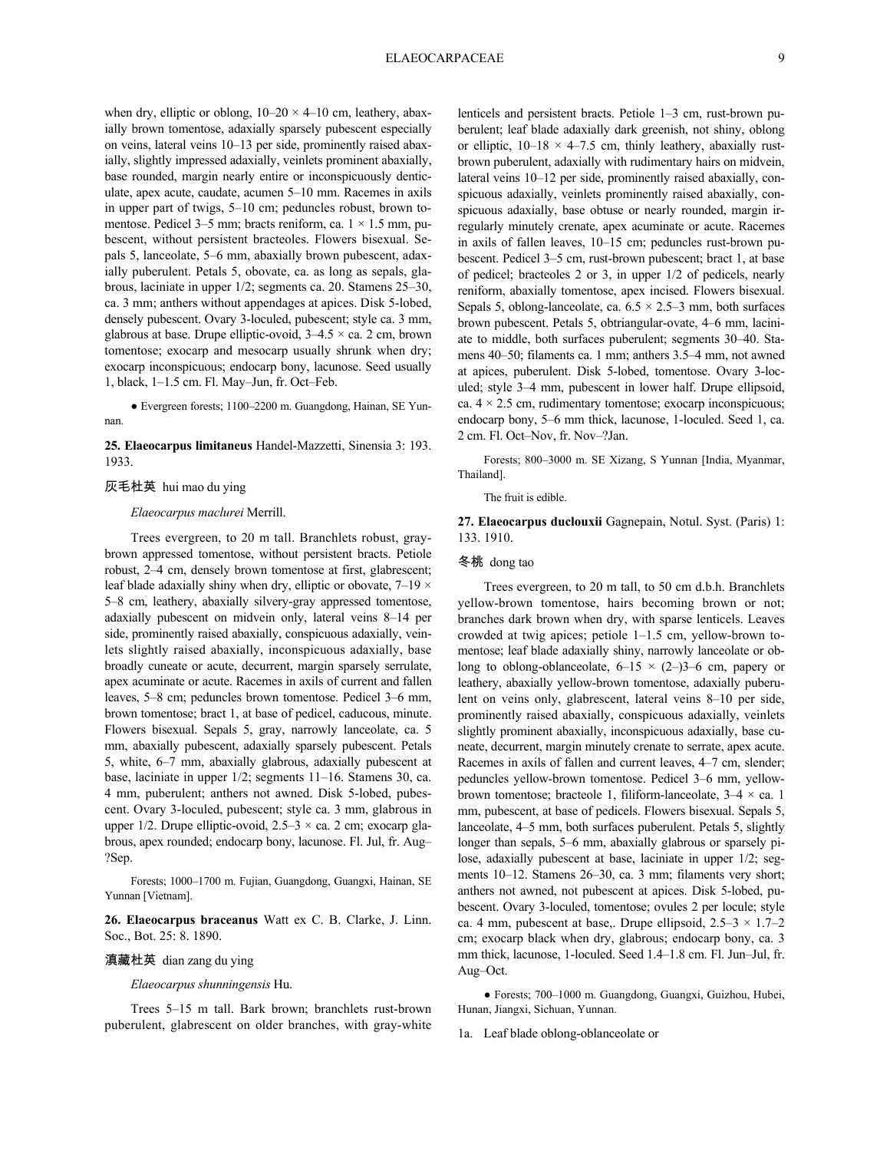when dry, elliptic or oblong,  $10-20 \times 4-10$  cm, leathery, abaxially brown tomentose, adaxially sparsely pubescent especially on veins, lateral veins 10–13 per side, prominently raised abaxially, slightly impressed adaxially, veinlets prominent abaxially, base rounded, margin nearly entire or inconspicuously denticulate, apex acute, caudate, acumen 5–10 mm. Racemes in axils in upper part of twigs, 5–10 cm; peduncles robust, brown tomentose. Pedicel 3–5 mm; bracts reniform, ca.  $1 \times 1.5$  mm, pubescent, without persistent bracteoles. Flowers bisexual. Sepals 5, lanceolate, 5–6 mm, abaxially brown pubescent, adaxially puberulent. Petals 5, obovate, ca. as long as sepals, glabrous, laciniate in upper 1/2; segments ca. 20. Stamens 25–30, ca. 3 mm; anthers without appendages at apices. Disk 5-lobed, densely pubescent. Ovary 3-loculed, pubescent; style ca. 3 mm, glabrous at base. Drupe elliptic-ovoid,  $3-4.5 \times$  ca. 2 cm, brown tomentose; exocarp and mesocarp usually shrunk when dry; exocarp inconspicuous; endocarp bony, lacunose. Seed usually 1, black, 1–1.5 cm. Fl. May–Jun, fr. Oct–Feb.

● Evergreen forests; 1100–2200 m. Guangdong, Hainan, SE Yunnan.

**25. Elaeocarpus limitaneus** Handel-Mazzetti, Sinensia 3: 193. 1933.

### 灰毛杜英 hui mao du ying

#### *Elaeocarpus maclurei* Merrill.

Trees evergreen, to 20 m tall. Branchlets robust, graybrown appressed tomentose, without persistent bracts. Petiole robust, 2–4 cm, densely brown tomentose at first, glabrescent; leaf blade adaxially shiny when dry, elliptic or obovate,  $7-19 \times$ 5–8 cm, leathery, abaxially silvery-gray appressed tomentose, adaxially pubescent on midvein only, lateral veins 8–14 per side, prominently raised abaxially, conspicuous adaxially, veinlets slightly raised abaxially, inconspicuous adaxially, base broadly cuneate or acute, decurrent, margin sparsely serrulate, apex acuminate or acute. Racemes in axils of current and fallen leaves, 5–8 cm; peduncles brown tomentose. Pedicel 3–6 mm, brown tomentose; bract 1, at base of pedicel, caducous, minute. Flowers bisexual. Sepals 5, gray, narrowly lanceolate, ca. 5 mm, abaxially pubescent, adaxially sparsely pubescent. Petals 5, white, 6–7 mm, abaxially glabrous, adaxially pubescent at base, laciniate in upper 1/2; segments 11–16. Stamens 30, ca. 4 mm, puberulent; anthers not awned. Disk 5-lobed, pubescent. Ovary 3-loculed, pubescent; style ca. 3 mm, glabrous in upper  $1/2$ . Drupe elliptic-ovoid,  $2.5-3 \times$  ca. 2 cm; exocarp glabrous, apex rounded; endocarp bony, lacunose. Fl. Jul, fr. Aug– ?Sep.

Forests; 1000–1700 m. Fujian, Guangdong, Guangxi, Hainan, SE Yunnan [Vietnam].

**26. Elaeocarpus braceanus** Watt ex C. B. Clarke, J. Linn. Soc., Bot. 25: 8. 1890.

### 滇藏杜英 dian zang du ying

#### *Elaeocarpus shunningensis* Hu.

Trees 5–15 m tall. Bark brown; branchlets rust-brown puberulent, glabrescent on older branches, with gray-white lenticels and persistent bracts. Petiole 1–3 cm, rust-brown puberulent; leaf blade adaxially dark greenish, not shiny, oblong or elliptic,  $10-18 \times 4-7.5$  cm, thinly leathery, abaxially rustbrown puberulent, adaxially with rudimentary hairs on midvein, lateral veins 10–12 per side, prominently raised abaxially, conspicuous adaxially, veinlets prominently raised abaxially, conspicuous adaxially, base obtuse or nearly rounded, margin irregularly minutely crenate, apex acuminate or acute. Racemes in axils of fallen leaves, 10–15 cm; peduncles rust-brown pubescent. Pedicel 3–5 cm, rust-brown pubescent; bract 1, at base of pedicel; bracteoles 2 or 3, in upper 1/2 of pedicels, nearly reniform, abaxially tomentose, apex incised. Flowers bisexual. Sepals 5, oblong-lanceolate, ca.  $6.5 \times 2.5-3$  mm, both surfaces brown pubescent. Petals 5, obtriangular-ovate, 4–6 mm, laciniate to middle, both surfaces puberulent; segments 30–40. Stamens 40–50; filaments ca. 1 mm; anthers 3.5–4 mm, not awned at apices, puberulent. Disk 5-lobed, tomentose. Ovary 3-loculed; style 3–4 mm, pubescent in lower half. Drupe ellipsoid, ca.  $4 \times 2.5$  cm, rudimentary tomentose; exocarp inconspicuous; endocarp bony, 5–6 mm thick, lacunose, 1-loculed. Seed 1, ca. 2 cm. Fl. Oct–Nov, fr. Nov–?Jan.

Forests; 800–3000 m. SE Xizang, S Yunnan [India, Myanmar, Thailand].

The fruit is edible.

**27. Elaeocarpus duclouxii** Gagnepain, Notul. Syst. (Paris) 1: 133. 1910.

### 冬桃 dong tao

Trees evergreen, to 20 m tall, to 50 cm d.b.h. Branchlets yellow-brown tomentose, hairs becoming brown or not; branches dark brown when dry, with sparse lenticels. Leaves crowded at twig apices; petiole 1–1.5 cm, yellow-brown tomentose; leaf blade adaxially shiny, narrowly lanceolate or oblong to oblong-oblanceolate,  $6-15 \times (2-)3-6$  cm, papery or leathery, abaxially yellow-brown tomentose, adaxially puberulent on veins only, glabrescent, lateral veins 8–10 per side, prominently raised abaxially, conspicuous adaxially, veinlets slightly prominent abaxially, inconspicuous adaxially, base cuneate, decurrent, margin minutely crenate to serrate, apex acute. Racemes in axils of fallen and current leaves, 4–7 cm, slender; peduncles yellow-brown tomentose. Pedicel 3–6 mm, yellowbrown tomentose; bracteole 1, filiform-lanceolate,  $3-4 \times$  ca. 1 mm, pubescent, at base of pedicels. Flowers bisexual. Sepals 5, lanceolate, 4–5 mm, both surfaces puberulent. Petals 5, slightly longer than sepals, 5–6 mm, abaxially glabrous or sparsely pilose, adaxially pubescent at base, laciniate in upper 1/2; segments 10–12. Stamens 26–30, ca. 3 mm; filaments very short; anthers not awned, not pubescent at apices. Disk 5-lobed, pubescent. Ovary 3-loculed, tomentose; ovules 2 per locule; style ca. 4 mm, pubescent at base,. Drupe ellipsoid,  $2.5-3 \times 1.7-2$ cm; exocarp black when dry, glabrous; endocarp bony, ca. 3 mm thick, lacunose, 1-loculed. Seed 1.4–1.8 cm. Fl. Jun–Jul, fr. Aug–Oct.

● Forests; 700–1000 m. Guangdong, Guangxi, Guizhou, Hubei, Hunan, Jiangxi, Sichuan, Yunnan.

1a. Leaf blade oblong-oblanceolate or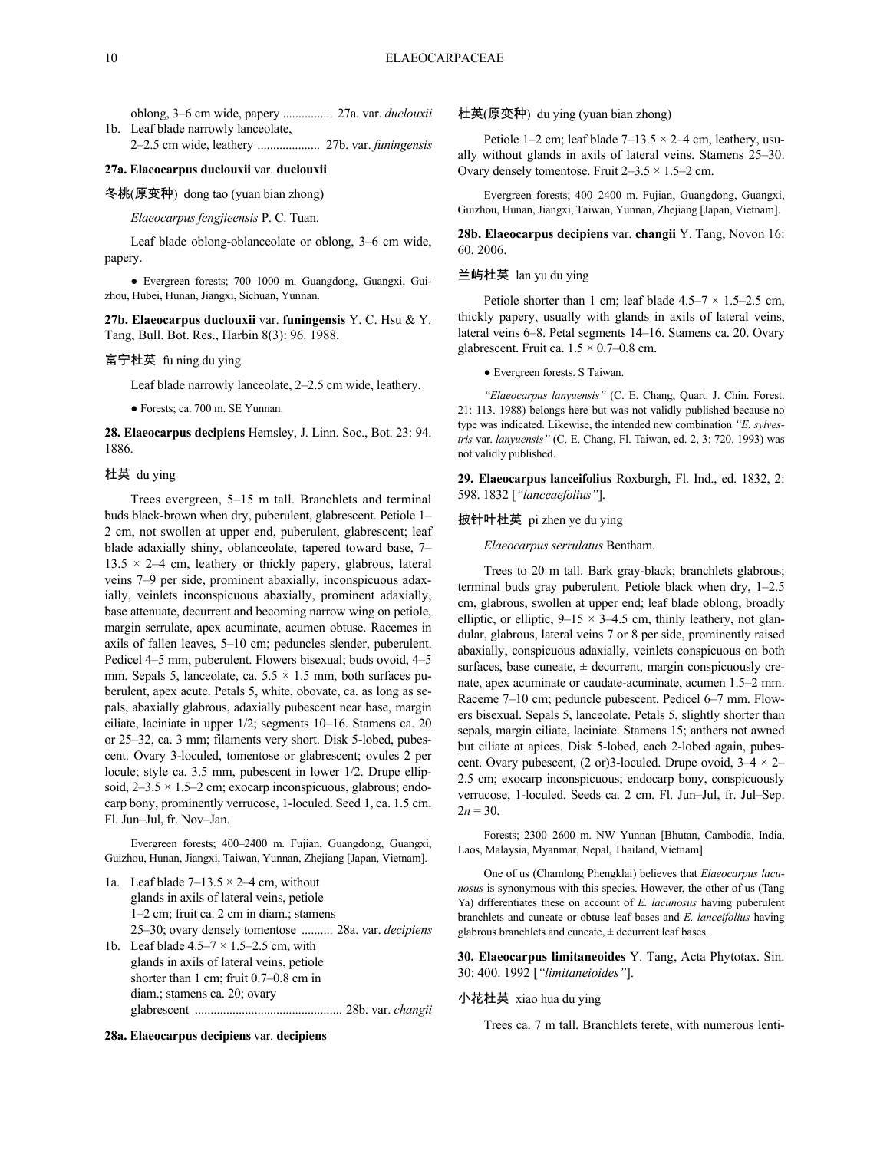oblong, 3–6 cm wide, papery ................ 27a. var. *duclouxii* 1b. Leaf blade narrowly lanceolate,

2–2.5 cm wide, leathery .................... 27b. var. *funingensis*

### **27a. Elaeocarpus duclouxii** var. **duclouxii**

冬桃(原变种) dong tao (yuan bian zhong)

*Elaeocarpus fengjieensis* P. C. Tuan.

Leaf blade oblong-oblanceolate or oblong, 3–6 cm wide, papery.

● Evergreen forests; 700–1000 m. Guangdong, Guangxi, Guizhou, Hubei, Hunan, Jiangxi, Sichuan, Yunnan.

**27b. Elaeocarpus duclouxii** var. **funingensis** Y. C. Hsu & Y. Tang, Bull. Bot. Res., Harbin 8(3): 96. 1988.

#### 富宁杜英 fu ning du ying

Leaf blade narrowly lanceolate, 2–2.5 cm wide, leathery.

● Forests; ca. 700 m. SE Yunnan.

**28. Elaeocarpus decipiens** Hemsley, J. Linn. Soc., Bot. 23: 94. 1886.

### 杜英 du ying

Trees evergreen, 5–15 m tall. Branchlets and terminal buds black-brown when dry, puberulent, glabrescent. Petiole 1– 2 cm, not swollen at upper end, puberulent, glabrescent; leaf blade adaxially shiny, oblanceolate, tapered toward base, 7–  $13.5 \times 2-4$  cm, leathery or thickly papery, glabrous, lateral veins 7–9 per side, prominent abaxially, inconspicuous adaxially, veinlets inconspicuous abaxially, prominent adaxially, base attenuate, decurrent and becoming narrow wing on petiole, margin serrulate, apex acuminate, acumen obtuse. Racemes in axils of fallen leaves, 5–10 cm; peduncles slender, puberulent. Pedicel 4–5 mm, puberulent. Flowers bisexual; buds ovoid, 4–5 mm. Sepals 5, lanceolate, ca.  $5.5 \times 1.5$  mm, both surfaces puberulent, apex acute. Petals 5, white, obovate, ca. as long as sepals, abaxially glabrous, adaxially pubescent near base, margin ciliate, laciniate in upper 1/2; segments 10–16. Stamens ca. 20 or 25–32, ca. 3 mm; filaments very short. Disk 5-lobed, pubescent. Ovary 3-loculed, tomentose or glabrescent; ovules 2 per locule; style ca. 3.5 mm, pubescent in lower 1/2. Drupe ellipsoid,  $2-3.5 \times 1.5-2$  cm; exocarp inconspicuous, glabrous; endocarp bony, prominently verrucose, 1-loculed. Seed 1, ca. 1.5 cm. Fl. Jun–Jul, fr. Nov–Jan.

Evergreen forests; 400–2400 m. Fujian, Guangdong, Guangxi, Guizhou, Hunan, Jiangxi, Taiwan, Yunnan, Zhejiang [Japan, Vietnam].

| 1a. Leaf blade $7-13.5 \times 2-4$ cm, without             |
|------------------------------------------------------------|
| glands in axils of lateral veins, petiole                  |
| $1-2$ cm; fruit ca. 2 cm in diam.; stamens                 |
| 25–30; ovary densely tomentose  28a. var. <i>decipiens</i> |
| 1b. Leaf blade $4.5-7 \times 1.5-2.5$ cm, with             |
| glands in axils of lateral veins, petiole                  |
| shorter than 1 cm; fruit $0.7-0.8$ cm in                   |
| diam.; stamens ca. 20; ovary                               |
|                                                            |
|                                                            |

#### **28a. Elaeocarpus decipiens** var. **decipiens**

杜英(原变种) du ying (yuan bian zhong)

Petiole 1–2 cm; leaf blade  $7-13.5 \times 2-4$  cm, leathery, usually without glands in axils of lateral veins. Stamens 25–30. Ovary densely tomentose. Fruit  $2-3.5 \times 1.5-2$  cm.

Evergreen forests; 400–2400 m. Fujian, Guangdong, Guangxi, Guizhou, Hunan, Jiangxi, Taiwan, Yunnan, Zhejiang [Japan, Vietnam].

**28b. Elaeocarpus decipiens** var. **changii** Y. Tang, Novon 16: 60. 2006.

#### 兰屿杜英 lan yu du ying

Petiole shorter than 1 cm; leaf blade  $4.5-7 \times 1.5-2.5$  cm, thickly papery, usually with glands in axils of lateral veins, lateral veins 6–8. Petal segments 14–16. Stamens ca. 20. Ovary glabrescent. Fruit ca.  $1.5 \times 0.7{\text{-}}0.8$  cm.

● Evergreen forests. S Taiwan.

*"Elaeocarpus lanyuensis"* (C. E. Chang, Quart. J. Chin. Forest. 21: 113. 1988) belongs here but was not validly published because no type was indicated. Likewise, the intended new combination *"E. sylvestris* var. *lanyuensis"* (C. E. Chang, Fl. Taiwan, ed. 2, 3: 720. 1993) was not validly published.

**29. Elaeocarpus lanceifolius** Roxburgh, Fl. Ind., ed. 1832, 2: 598. 1832 [*"lanceaefolius"*].

### 披针叶杜英 pi zhen ye du ying

*Elaeocarpus serrulatus* Bentham.

Trees to 20 m tall. Bark gray-black; branchlets glabrous; terminal buds gray puberulent. Petiole black when dry, 1–2.5 cm, glabrous, swollen at upper end; leaf blade oblong, broadly elliptic, or elliptic,  $9-15 \times 3-4.5$  cm, thinly leathery, not glandular, glabrous, lateral veins 7 or 8 per side, prominently raised abaxially, conspicuous adaxially, veinlets conspicuous on both surfaces, base cuneate,  $\pm$  decurrent, margin conspicuously crenate, apex acuminate or caudate-acuminate, acumen 1.5–2 mm. Raceme 7–10 cm; peduncle pubescent. Pedicel 6–7 mm. Flowers bisexual. Sepals 5, lanceolate. Petals 5, slightly shorter than sepals, margin ciliate, laciniate. Stamens 15; anthers not awned but ciliate at apices. Disk 5-lobed, each 2-lobed again, pubescent. Ovary pubescent,  $(2 \text{ or } )3$ -loculed. Drupe ovoid,  $3-4 \times 2-$ 2.5 cm; exocarp inconspicuous; endocarp bony, conspicuously verrucose, 1-loculed. Seeds ca. 2 cm. Fl. Jun–Jul, fr. Jul–Sep.  $2n = 30$ .

Forests; 2300–2600 m. NW Yunnan [Bhutan, Cambodia, India, Laos, Malaysia, Myanmar, Nepal, Thailand, Vietnam].

One of us (Chamlong Phengklai) believes that *Elaeocarpus lacunosus* is synonymous with this species. However, the other of us (Tang Ya) differentiates these on account of *E. lacunosus* having puberulent branchlets and cuneate or obtuse leaf bases and *E. lanceifolius* having glabrous branchlets and cuneate, ± decurrent leaf bases.

**30. Elaeocarpus limitaneoides** Y. Tang, Acta Phytotax. Sin. 30: 400. 1992 [*"limitaneioides"*].

#### 小花杜英 xiao hua du ying

Trees ca. 7 m tall. Branchlets terete, with numerous lenti-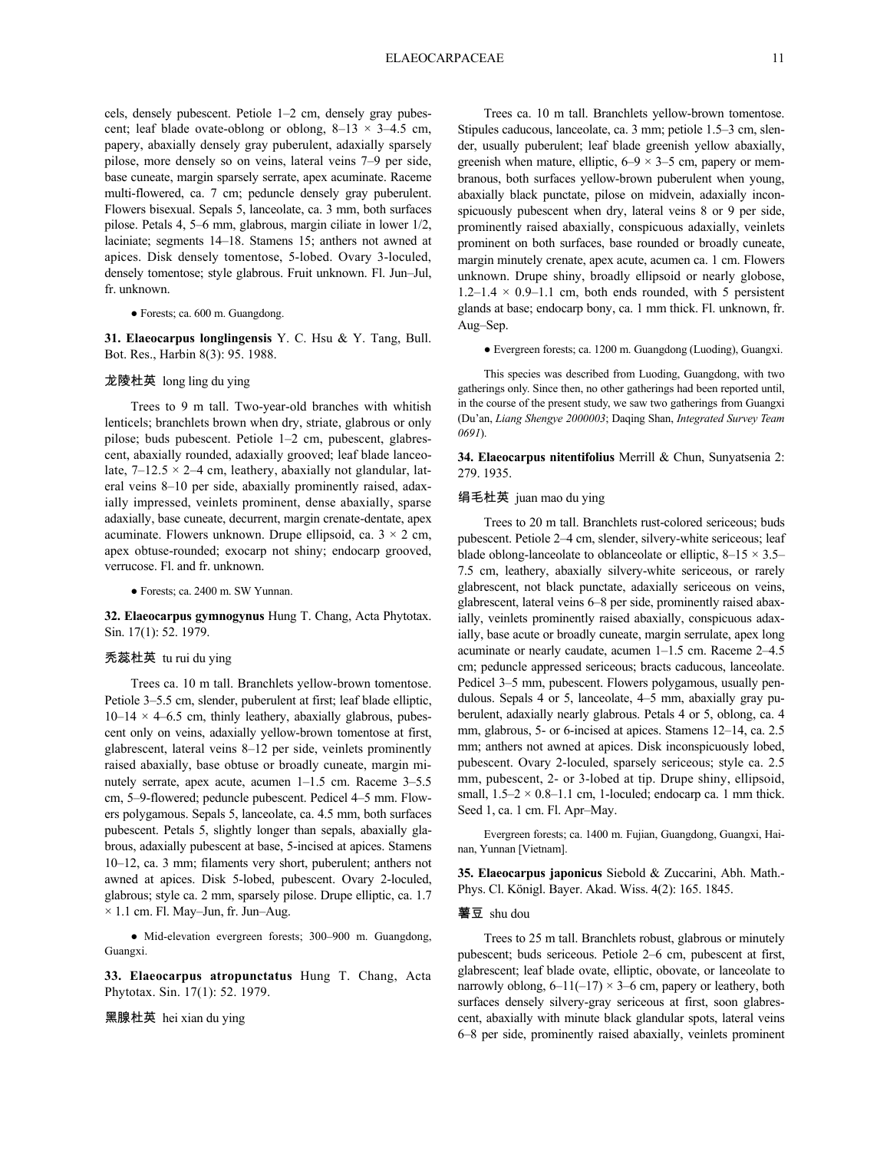cels, densely pubescent. Petiole 1–2 cm, densely gray pubescent; leaf blade ovate-oblong or oblong,  $8-13 \times 3-4.5$  cm, papery, abaxially densely gray puberulent, adaxially sparsely pilose, more densely so on veins, lateral veins 7–9 per side, base cuneate, margin sparsely serrate, apex acuminate. Raceme multi-flowered, ca. 7 cm; peduncle densely gray puberulent. Flowers bisexual. Sepals 5, lanceolate, ca. 3 mm, both surfaces pilose. Petals 4, 5–6 mm, glabrous, margin ciliate in lower 1/2, laciniate; segments 14–18. Stamens 15; anthers not awned at apices. Disk densely tomentose, 5-lobed. Ovary 3-loculed, densely tomentose; style glabrous. Fruit unknown. Fl. Jun–Jul, fr. unknown.

### ● Forests; ca. 600 m. Guangdong.

**31. Elaeocarpus longlingensis** Y. C. Hsu & Y. Tang, Bull. Bot. Res., Harbin 8(3): 95. 1988.

### 龙陵杜英 long ling du ying

Trees to 9 m tall. Two-year-old branches with whitish lenticels; branchlets brown when dry, striate, glabrous or only pilose; buds pubescent. Petiole 1–2 cm, pubescent, glabrescent, abaxially rounded, adaxially grooved; leaf blade lanceolate,  $7-12.5 \times 2-4$  cm, leathery, abaxially not glandular, lateral veins 8–10 per side, abaxially prominently raised, adaxially impressed, veinlets prominent, dense abaxially, sparse adaxially, base cuneate, decurrent, margin crenate-dentate, apex acuminate. Flowers unknown. Drupe ellipsoid, ca.  $3 \times 2$  cm, apex obtuse-rounded; exocarp not shiny; endocarp grooved, verrucose. Fl. and fr. unknown.

● Forests; ca. 2400 m. SW Yunnan.

### **32. Elaeocarpus gymnogynus** Hung T. Chang, Acta Phytotax. Sin. 17(1): 52. 1979.

#### 秃蕊杜英 tu rui du ying

Trees ca. 10 m tall. Branchlets yellow-brown tomentose. Petiole 3–5.5 cm, slender, puberulent at first; leaf blade elliptic,  $10-14 \times 4-6.5$  cm, thinly leathery, abaxially glabrous, pubescent only on veins, adaxially yellow-brown tomentose at first, glabrescent, lateral veins 8–12 per side, veinlets prominently raised abaxially, base obtuse or broadly cuneate, margin minutely serrate, apex acute, acumen 1–1.5 cm. Raceme 3–5.5 cm, 5–9-flowered; peduncle pubescent. Pedicel 4–5 mm. Flowers polygamous. Sepals 5, lanceolate, ca. 4.5 mm, both surfaces pubescent. Petals 5, slightly longer than sepals, abaxially glabrous, adaxially pubescent at base, 5-incised at apices. Stamens 10–12, ca. 3 mm; filaments very short, puberulent; anthers not awned at apices. Disk 5-lobed, pubescent. Ovary 2-loculed, glabrous; style ca. 2 mm, sparsely pilose. Drupe elliptic, ca. 1.7  $\times$  1.1 cm. Fl. May–Jun, fr. Jun–Aug.

● Mid-elevation evergreen forests; 300–900 m. Guangdong, Guangxi.

**33. Elaeocarpus atropunctatus** Hung T. Chang, Acta Phytotax. Sin. 17(1): 52. 1979.

黑腺杜英 hei xian du ying

Trees ca. 10 m tall. Branchlets yellow-brown tomentose. Stipules caducous, lanceolate, ca. 3 mm; petiole 1.5–3 cm, slender, usually puberulent; leaf blade greenish yellow abaxially, greenish when mature, elliptic,  $6-9 \times 3-5$  cm, papery or membranous, both surfaces yellow-brown puberulent when young, abaxially black punctate, pilose on midvein, adaxially inconspicuously pubescent when dry, lateral veins 8 or 9 per side, prominently raised abaxially, conspicuous adaxially, veinlets prominent on both surfaces, base rounded or broadly cuneate, margin minutely crenate, apex acute, acumen ca. 1 cm. Flowers unknown. Drupe shiny, broadly ellipsoid or nearly globose,  $1.2-1.4 \times 0.9-1.1$  cm, both ends rounded, with 5 persistent glands at base; endocarp bony, ca. 1 mm thick. Fl. unknown, fr. Aug–Sep.

● Evergreen forests; ca. 1200 m. Guangdong (Luoding), Guangxi.

This species was described from Luoding, Guangdong, with two gatherings only. Since then, no other gatherings had been reported until, in the course of the present study, we saw two gatherings from Guangxi (Du'an, *Liang Shengye 2000003*; Daqing Shan, *Integrated Survey Team 0691*).

**34. Elaeocarpus nitentifolius** Merrill & Chun, Sunyatsenia 2: 279. 1935.

### 绢毛杜英 juan mao du ying

Trees to 20 m tall. Branchlets rust-colored sericeous; buds pubescent. Petiole 2–4 cm, slender, silvery-white sericeous; leaf blade oblong-lanceolate to oblanceolate or elliptic,  $8-15 \times 3.5-$ 7.5 cm, leathery, abaxially silvery-white sericeous, or rarely glabrescent, not black punctate, adaxially sericeous on veins, glabrescent, lateral veins 6–8 per side, prominently raised abaxially, veinlets prominently raised abaxially, conspicuous adaxially, base acute or broadly cuneate, margin serrulate, apex long acuminate or nearly caudate, acumen 1–1.5 cm. Raceme 2–4.5 cm; peduncle appressed sericeous; bracts caducous, lanceolate. Pedicel 3–5 mm, pubescent. Flowers polygamous, usually pendulous. Sepals 4 or 5, lanceolate, 4–5 mm, abaxially gray puberulent, adaxially nearly glabrous. Petals 4 or 5, oblong, ca. 4 mm, glabrous, 5- or 6-incised at apices. Stamens 12–14, ca. 2.5 mm; anthers not awned at apices. Disk inconspicuously lobed, pubescent. Ovary 2-loculed, sparsely sericeous; style ca. 2.5 mm, pubescent, 2- or 3-lobed at tip. Drupe shiny, ellipsoid, small,  $1.5-2 \times 0.8-1.1$  cm, 1-loculed; endocarp ca. 1 mm thick. Seed 1, ca. 1 cm. Fl. Apr–May.

Evergreen forests; ca. 1400 m. Fujian, Guangdong, Guangxi, Hainan, Yunnan [Vietnam].

**35. Elaeocarpus japonicus** Siebold & Zuccarini, Abh. Math.- Phys. Cl. Königl. Bayer. Akad. Wiss. 4(2): 165. 1845.

#### 薯豆 shu dou

Trees to 25 m tall. Branchlets robust, glabrous or minutely pubescent; buds sericeous. Petiole 2–6 cm, pubescent at first, glabrescent; leaf blade ovate, elliptic, obovate, or lanceolate to narrowly oblong,  $6-11(-17) \times 3-6$  cm, papery or leathery, both surfaces densely silvery-gray sericeous at first, soon glabrescent, abaxially with minute black glandular spots, lateral veins 6–8 per side, prominently raised abaxially, veinlets prominent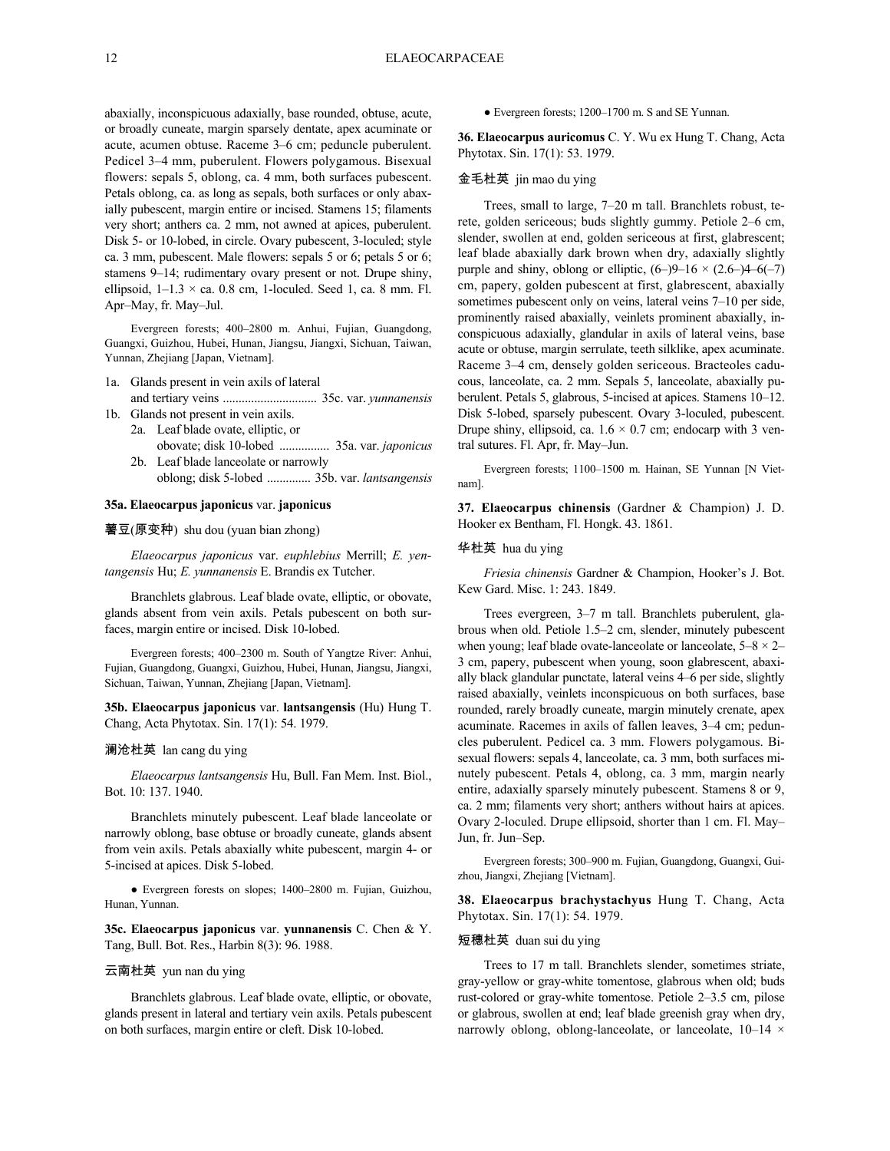abaxially, inconspicuous adaxially, base rounded, obtuse, acute, or broadly cuneate, margin sparsely dentate, apex acuminate or acute, acumen obtuse. Raceme 3–6 cm; peduncle puberulent. Pedicel 3–4 mm, puberulent. Flowers polygamous. Bisexual flowers: sepals 5, oblong, ca. 4 mm, both surfaces pubescent. Petals oblong, ca. as long as sepals, both surfaces or only abaxially pubescent, margin entire or incised. Stamens 15; filaments very short; anthers ca. 2 mm, not awned at apices, puberulent. Disk 5- or 10-lobed, in circle. Ovary pubescent, 3-loculed; style ca. 3 mm, pubescent. Male flowers: sepals 5 or 6; petals 5 or 6; stamens 9–14; rudimentary ovary present or not. Drupe shiny, ellipsoid,  $1-1.3 \times$  ca. 0.8 cm, 1-loculed. Seed 1, ca. 8 mm. Fl. Apr–May, fr. May–Jul.

Evergreen forests; 400–2800 m. Anhui, Fujian, Guangdong, Guangxi, Guizhou, Hubei, Hunan, Jiangsu, Jiangxi, Sichuan, Taiwan, Yunnan, Zhejiang [Japan, Vietnam].

- 1a. Glands present in vein axils of lateral and tertiary veins .............................. 35c. var. *yunnanensis*
- 1b. Glands not present in vein axils. 2a. Leaf blade ovate, elliptic, or obovate; disk 10-lobed ................ 35a. var. *japonicus*
	- 2b. Leaf blade lanceolate or narrowly oblong; disk 5-lobed .............. 35b. var. *lantsangensis*

#### **35a. Elaeocarpus japonicus** var. **japonicus**

薯豆(原变种) shu dou (yuan bian zhong)

*Elaeocarpus japonicus* var. *euphlebius* Merrill; *E. yentangensis* Hu; *E. yunnanensis* E. Brandis ex Tutcher.

Branchlets glabrous. Leaf blade ovate, elliptic, or obovate, glands absent from vein axils. Petals pubescent on both surfaces, margin entire or incised. Disk 10-lobed.

Evergreen forests; 400–2300 m. South of Yangtze River: Anhui, Fujian, Guangdong, Guangxi, Guizhou, Hubei, Hunan, Jiangsu, Jiangxi, Sichuan, Taiwan, Yunnan, Zhejiang [Japan, Vietnam].

**35b. Elaeocarpus japonicus** var. **lantsangensis** (Hu) Hung T. Chang, Acta Phytotax. Sin. 17(1): 54. 1979.

### 澜沧杜英 lan cang du ying

*Elaeocarpus lantsangensis* Hu, Bull. Fan Mem. Inst. Biol., Bot. 10: 137. 1940.

Branchlets minutely pubescent. Leaf blade lanceolate or narrowly oblong, base obtuse or broadly cuneate, glands absent from vein axils. Petals abaxially white pubescent, margin 4- or 5-incised at apices. Disk 5-lobed.

● Evergreen forests on slopes; 1400–2800 m. Fujian, Guizhou, Hunan, Yunnan.

**35c. Elaeocarpus japonicus** var. **yunnanensis** C. Chen & Y. Tang, Bull. Bot. Res., Harbin 8(3): 96. 1988.

### 云南杜英 yun nan du ying

Branchlets glabrous. Leaf blade ovate, elliptic, or obovate, glands present in lateral and tertiary vein axils. Petals pubescent on both surfaces, margin entire or cleft. Disk 10-lobed.

● Evergreen forests; 1200–1700 m. S and SE Yunnan.

**36. Elaeocarpus auricomus** C. Y. Wu ex Hung T. Chang, Acta Phytotax. Sin. 17(1): 53. 1979.

### 金毛杜英 jin mao du ying

Trees, small to large, 7–20 m tall. Branchlets robust, terete, golden sericeous; buds slightly gummy. Petiole 2–6 cm, slender, swollen at end, golden sericeous at first, glabrescent; leaf blade abaxially dark brown when dry, adaxially slightly purple and shiny, oblong or elliptic,  $(6-9-16 \times (2.6-4-6(-7)))$ cm, papery, golden pubescent at first, glabrescent, abaxially sometimes pubescent only on veins, lateral veins 7–10 per side, prominently raised abaxially, veinlets prominent abaxially, inconspicuous adaxially, glandular in axils of lateral veins, base acute or obtuse, margin serrulate, teeth silklike, apex acuminate. Raceme 3–4 cm, densely golden sericeous. Bracteoles caducous, lanceolate, ca. 2 mm. Sepals 5, lanceolate, abaxially puberulent. Petals 5, glabrous, 5-incised at apices. Stamens 10–12. Disk 5-lobed, sparsely pubescent. Ovary 3-loculed, pubescent. Drupe shiny, ellipsoid, ca.  $1.6 \times 0.7$  cm; endocarp with 3 ventral sutures. Fl. Apr, fr. May–Jun.

Evergreen forests; 1100–1500 m. Hainan, SE Yunnan [N Vietnam].

**37. Elaeocarpus chinensis** (Gardner & Champion) J. D. Hooker ex Bentham, Fl. Hongk. 43. 1861.

### 华杜英 hua du ying

*Friesia chinensis* Gardner & Champion, Hooker's J. Bot. Kew Gard. Misc. 1: 243. 1849.

Trees evergreen, 3–7 m tall. Branchlets puberulent, glabrous when old. Petiole 1.5–2 cm, slender, minutely pubescent when young; leaf blade ovate-lanceolate or lanceolate,  $5-8 \times 2-$ 3 cm, papery, pubescent when young, soon glabrescent, abaxially black glandular punctate, lateral veins 4–6 per side, slightly raised abaxially, veinlets inconspicuous on both surfaces, base rounded, rarely broadly cuneate, margin minutely crenate, apex acuminate. Racemes in axils of fallen leaves, 3–4 cm; peduncles puberulent. Pedicel ca. 3 mm. Flowers polygamous. Bisexual flowers: sepals 4, lanceolate, ca. 3 mm, both surfaces minutely pubescent. Petals 4, oblong, ca. 3 mm, margin nearly entire, adaxially sparsely minutely pubescent. Stamens 8 or 9, ca. 2 mm; filaments very short; anthers without hairs at apices. Ovary 2-loculed. Drupe ellipsoid, shorter than 1 cm. Fl. May– Jun, fr. Jun–Sep.

Evergreen forests; 300–900 m. Fujian, Guangdong, Guangxi, Guizhou, Jiangxi, Zhejiang [Vietnam].

**38. Elaeocarpus brachystachyus** Hung T. Chang, Acta Phytotax. Sin. 17(1): 54. 1979.

#### 短穗杜英 duan sui du ying

Trees to 17 m tall. Branchlets slender, sometimes striate, gray-yellow or gray-white tomentose, glabrous when old; buds rust-colored or gray-white tomentose. Petiole 2–3.5 cm, pilose or glabrous, swollen at end; leaf blade greenish gray when dry, narrowly oblong, oblong-lanceolate, or lanceolate,  $10-14 \times$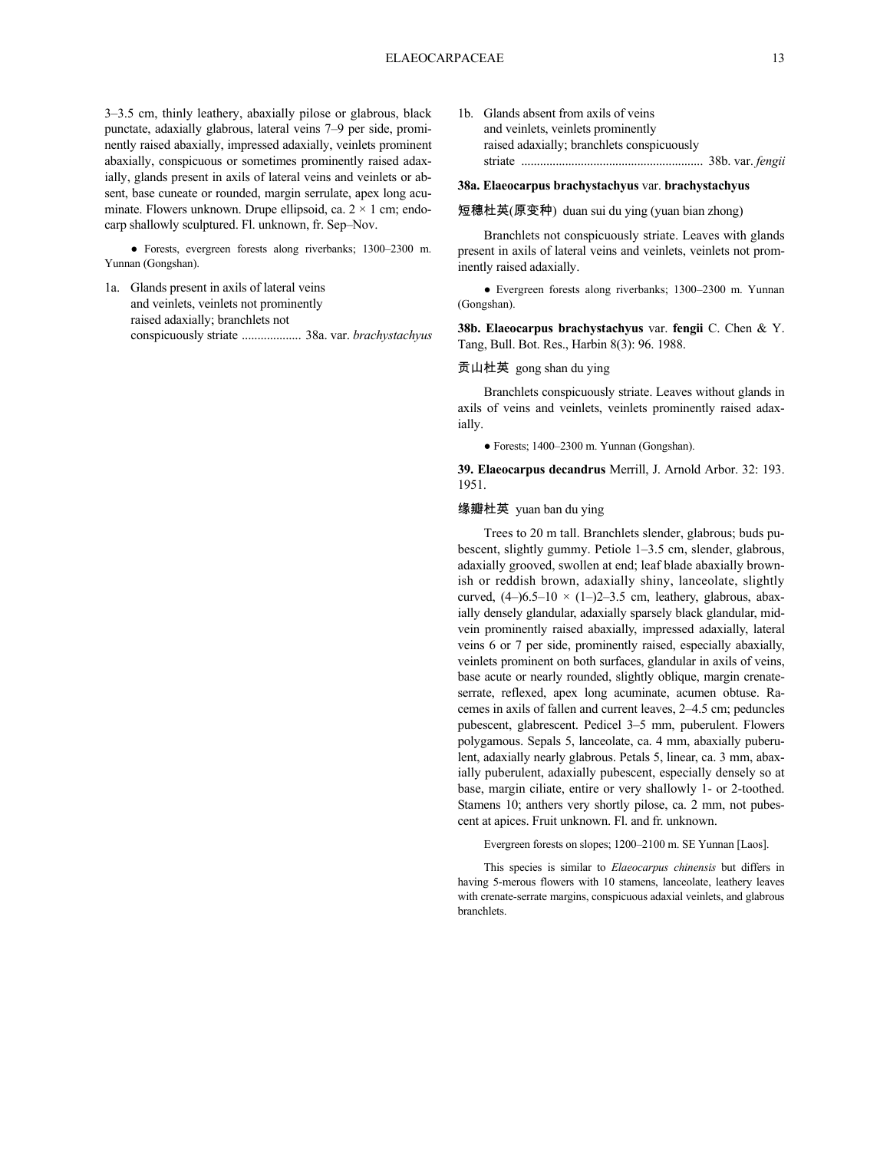3–3.5 cm, thinly leathery, abaxially pilose or glabrous, black punctate, adaxially glabrous, lateral veins 7–9 per side, prominently raised abaxially, impressed adaxially, veinlets prominent abaxially, conspicuous or sometimes prominently raised adaxially, glands present in axils of lateral veins and veinlets or absent, base cuneate or rounded, margin serrulate, apex long acuminate. Flowers unknown. Drupe ellipsoid, ca.  $2 \times 1$  cm; endocarp shallowly sculptured. Fl. unknown, fr. Sep–Nov.

● Forests, evergreen forests along riverbanks; 1300–2300 m. Yunnan (Gongshan).

- 1a. Glands present in axils of lateral veins and veinlets, veinlets not prominently raised adaxially; branchlets not conspicuously striate ................... 38a. var. *brachystachyus*
- 1b. Glands absent from axils of veins and veinlets, veinlets prominently raised adaxially; branchlets conspicuously striate .......................................................... 38b. var. *fengii*

# **38a. Elaeocarpus brachystachyus** var. **brachystachyus**

#### 短穗杜英(原变种) duan sui du ying (yuan bian zhong)

Branchlets not conspicuously striate. Leaves with glands present in axils of lateral veins and veinlets, veinlets not prominently raised adaxially.

● Evergreen forests along riverbanks; 1300–2300 m. Yunnan (Gongshan).

**38b. Elaeocarpus brachystachyus** var. **fengii** C. Chen & Y. Tang, Bull. Bot. Res., Harbin 8(3): 96. 1988.

### 贡山杜英 gong shan du ying

Branchlets conspicuously striate. Leaves without glands in axils of veins and veinlets, veinlets prominently raised adaxially.

● Forests; 1400–2300 m. Yunnan (Gongshan).

**39. Elaeocarpus decandrus** Merrill, J. Arnold Arbor. 32: 193. 1951.

#### 缘瓣杜英 yuan ban du ying

Trees to 20 m tall. Branchlets slender, glabrous; buds pubescent, slightly gummy. Petiole 1–3.5 cm, slender, glabrous, adaxially grooved, swollen at end; leaf blade abaxially brownish or reddish brown, adaxially shiny, lanceolate, slightly curved,  $(4-)6.5-10 \times (1-)2-3.5$  cm, leathery, glabrous, abaxially densely glandular, adaxially sparsely black glandular, midvein prominently raised abaxially, impressed adaxially, lateral veins 6 or 7 per side, prominently raised, especially abaxially, veinlets prominent on both surfaces, glandular in axils of veins, base acute or nearly rounded, slightly oblique, margin crenateserrate, reflexed, apex long acuminate, acumen obtuse. Racemes in axils of fallen and current leaves, 2–4.5 cm; peduncles pubescent, glabrescent. Pedicel 3–5 mm, puberulent. Flowers polygamous. Sepals 5, lanceolate, ca. 4 mm, abaxially puberulent, adaxially nearly glabrous. Petals 5, linear, ca. 3 mm, abaxially puberulent, adaxially pubescent, especially densely so at base, margin ciliate, entire or very shallowly 1- or 2-toothed. Stamens 10; anthers very shortly pilose, ca. 2 mm, not pubescent at apices. Fruit unknown. Fl. and fr. unknown.

Evergreen forests on slopes; 1200–2100 m. SE Yunnan [Laos].

This species is similar to *Elaeocarpus chinensis* but differs in having 5-merous flowers with 10 stamens, lanceolate, leathery leaves with crenate-serrate margins, conspicuous adaxial veinlets, and glabrous branchlets.